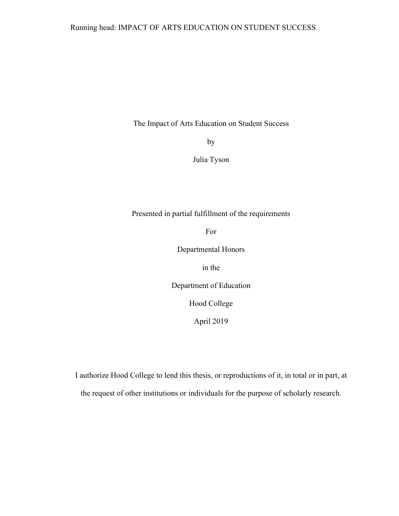The Impact of Arts Education on Student Success

by

Julia Tyson

Presented in partial fulfillment of the requirements

For

Departmental Honors

in the

Department of Education

Hood College

April 2019

I authorize Hood College to lend this thesis, or reproductions of it, in total or in part, at the request of other institutions or individuals for the purpose of scholarly research.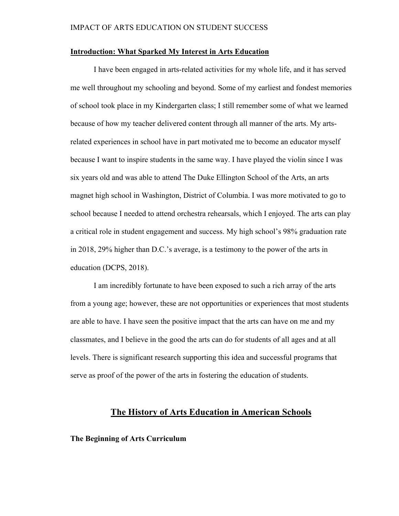## **Introduction: What Sparked My Interest in Arts Education**

I have been engaged in arts-related activities for my whole life, and it has served me well throughout my schooling and beyond. Some of my earliest and fondest memories of school took place in my Kindergarten class; I still remember some of what we learned because of how my teacher delivered content through all manner of the arts. My artsrelated experiences in school have in part motivated me to become an educator myself because I want to inspire students in the same way. I have played the violin since I was six years old and was able to attend The Duke Ellington School of the Arts, an arts magnet high school in Washington, District of Columbia. I was more motivated to go to school because I needed to attend orchestra rehearsals, which I enjoyed. The arts can play a critical role in student engagement and success. My high school's 98% graduation rate in 2018, 29% higher than D.C.'s average, is a testimony to the power of the arts in education (DCPS, 2018).

I am incredibly fortunate to have been exposed to such a rich array of the arts from a young age; however, these are not opportunities or experiences that most students are able to have. I have seen the positive impact that the arts can have on me and my classmates, and I believe in the good the arts can do for students of all ages and at all levels. There is significant research supporting this idea and successful programs that serve as proof of the power of the arts in fostering the education of students.

# **The History of Arts Education in American Schools**

**The Beginning of Arts Curriculum**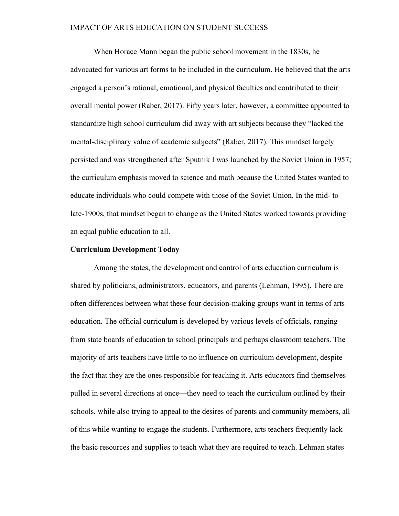When Horace Mann began the public school movement in the 1830s, he advocated for various art forms to be included in the curriculum. He believed that the arts engaged a person's rational, emotional, and physical faculties and contributed to their overall mental power (Raber, 2017). Fifty years later, however, a committee appointed to standardize high school curriculum did away with art subjects because they "lacked the mental-disciplinary value of academic subjects" (Raber, 2017). This mindset largely persisted and was strengthened after Sputnik I was launched by the Soviet Union in 1957; the curriculum emphasis moved to science and math because the United States wanted to educate individuals who could compete with those of the Soviet Union. In the mid- to late-1900s, that mindset began to change as the United States worked towards providing an equal public education to all.

### **Curriculum Development Today**

Among the states, the development and control of arts education curriculum is shared by politicians, administrators, educators, and parents (Lehman, 1995). There are often differences between what these four decision-making groups want in terms of arts education. The official curriculum is developed by various levels of officials, ranging from state boards of education to school principals and perhaps classroom teachers. The majority of arts teachers have little to no influence on curriculum development, despite the fact that they are the ones responsible for teaching it. Arts educators find themselves pulled in several directions at once—they need to teach the curriculum outlined by their schools, while also trying to appeal to the desires of parents and community members, all of this while wanting to engage the students. Furthermore, arts teachers frequently lack the basic resources and supplies to teach what they are required to teach. Lehman states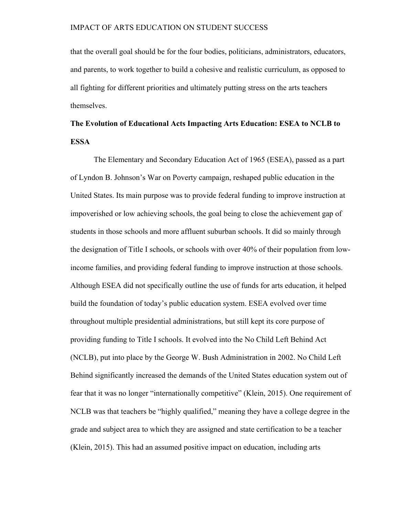that the overall goal should be for the four bodies, politicians, administrators, educators, and parents, to work together to build a cohesive and realistic curriculum, as opposed to all fighting for different priorities and ultimately putting stress on the arts teachers themselves.

# **The Evolution of Educational Acts Impacting Arts Education: ESEA to NCLB to ESSA**

The Elementary and Secondary Education Act of 1965 (ESEA), passed as a part of Lyndon B. Johnson's War on Poverty campaign, reshaped public education in the United States. Its main purpose was to provide federal funding to improve instruction at impoverished or low achieving schools, the goal being to close the achievement gap of students in those schools and more affluent suburban schools. It did so mainly through the designation of Title I schools, or schools with over 40% of their population from lowincome families, and providing federal funding to improve instruction at those schools. Although ESEA did not specifically outline the use of funds for arts education, it helped build the foundation of today's public education system. ESEA evolved over time throughout multiple presidential administrations, but still kept its core purpose of providing funding to Title I schools. It evolved into the No Child Left Behind Act (NCLB), put into place by the George W. Bush Administration in 2002. No Child Left Behind significantly increased the demands of the United States education system out of fear that it was no longer "internationally competitive" (Klein, 2015). One requirement of NCLB was that teachers be "highly qualified," meaning they have a college degree in the grade and subject area to which they are assigned and state certification to be a teacher (Klein, 2015). This had an assumed positive impact on education, including arts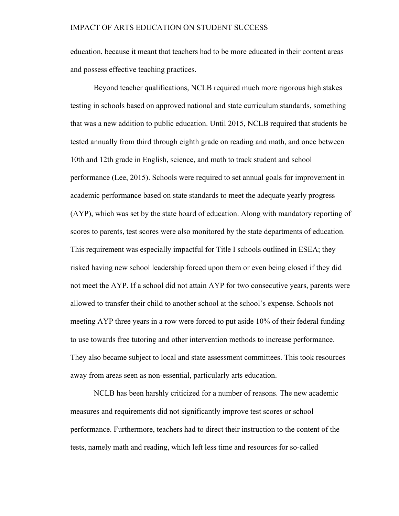education, because it meant that teachers had to be more educated in their content areas and possess effective teaching practices.

Beyond teacher qualifications, NCLB required much more rigorous high stakes testing in schools based on approved national and state curriculum standards, something that was a new addition to public education. Until 2015, NCLB required that students be tested annually from third through eighth grade on reading and math, and once between 10th and 12th grade in English, science, and math to track student and school performance (Lee, 2015). Schools were required to set annual goals for improvement in academic performance based on state standards to meet the adequate yearly progress (AYP), which was set by the state board of education. Along with mandatory reporting of scores to parents, test scores were also monitored by the state departments of education. This requirement was especially impactful for Title I schools outlined in ESEA; they risked having new school leadership forced upon them or even being closed if they did not meet the AYP. If a school did not attain AYP for two consecutive years, parents were allowed to transfer their child to another school at the school's expense. Schools not meeting AYP three years in a row were forced to put aside 10% of their federal funding to use towards free tutoring and other intervention methods to increase performance. They also became subject to local and state assessment committees. This took resources away from areas seen as non-essential, particularly arts education.

NCLB has been harshly criticized for a number of reasons. The new academic measures and requirements did not significantly improve test scores or school performance. Furthermore, teachers had to direct their instruction to the content of the tests, namely math and reading, which left less time and resources for so-called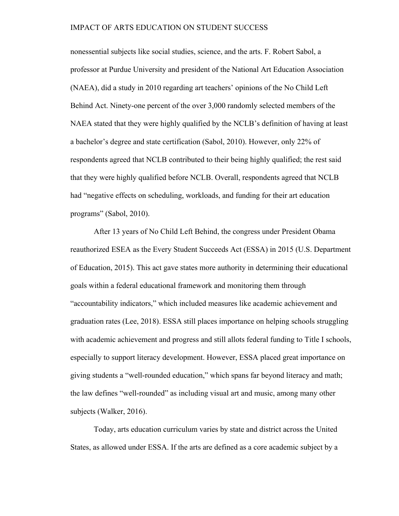nonessential subjects like social studies, science, and the arts. F. Robert Sabol, a professor at Purdue University and president of the National Art Education Association (NAEA), did a study in 2010 regarding art teachers' opinions of the No Child Left Behind Act. Ninety-one percent of the over 3,000 randomly selected members of the NAEA stated that they were highly qualified by the NCLB's definition of having at least a bachelor's degree and state certification (Sabol, 2010). However, only 22% of respondents agreed that NCLB contributed to their being highly qualified; the rest said that they were highly qualified before NCLB. Overall, respondents agreed that NCLB had "negative effects on scheduling, workloads, and funding for their art education programs" (Sabol, 2010).

After 13 years of No Child Left Behind, the congress under President Obama reauthorized ESEA as the Every Student Succeeds Act (ESSA) in 2015 (U.S. Department of Education, 2015). This act gave states more authority in determining their educational goals within a federal educational framework and monitoring them through "accountability indicators," which included measures like academic achievement and graduation rates (Lee, 2018). ESSA still places importance on helping schools struggling with academic achievement and progress and still allots federal funding to Title I schools, especially to support literacy development. However, ESSA placed great importance on giving students a "well-rounded education," which spans far beyond literacy and math; the law defines "well-rounded" as including visual art and music, among many other subjects (Walker, 2016).

Today, arts education curriculum varies by state and district across the United States, as allowed under ESSA. If the arts are defined as a core academic subject by a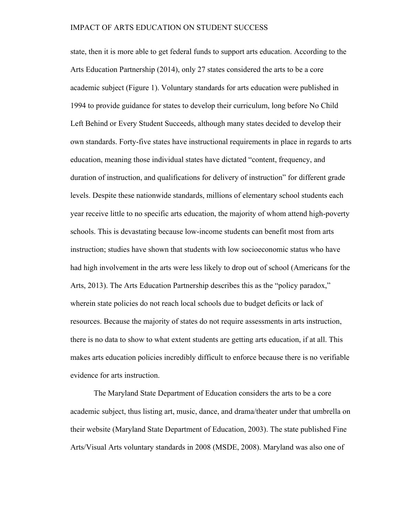state, then it is more able to get federal funds to support arts education. According to the Arts Education Partnership (2014), only 27 states considered the arts to be a core academic subject (Figure 1). Voluntary standards for arts education were published in 1994 to provide guidance for states to develop their curriculum, long before No Child Left Behind or Every Student Succeeds, although many states decided to develop their own standards. Forty-five states have instructional requirements in place in regards to arts education, meaning those individual states have dictated "content, frequency, and duration of instruction, and qualifications for delivery of instruction" for different grade levels. Despite these nationwide standards, millions of elementary school students each year receive little to no specific arts education, the majority of whom attend high-poverty schools. This is devastating because low-income students can benefit most from arts instruction; studies have shown that students with low socioeconomic status who have had high involvement in the arts were less likely to drop out of school (Americans for the Arts, 2013). The Arts Education Partnership describes this as the "policy paradox," wherein state policies do not reach local schools due to budget deficits or lack of resources. Because the majority of states do not require assessments in arts instruction, there is no data to show to what extent students are getting arts education, if at all. This makes arts education policies incredibly difficult to enforce because there is no verifiable evidence for arts instruction.

The Maryland State Department of Education considers the arts to be a core academic subject, thus listing art, music, dance, and drama/theater under that umbrella on their website (Maryland State Department of Education, 2003). The state published Fine Arts/Visual Arts voluntary standards in 2008 (MSDE, 2008). Maryland was also one of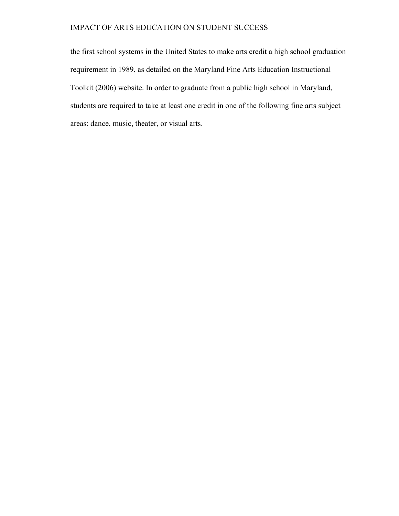the first school systems in the United States to make arts credit a high school graduation requirement in 1989, as detailed on the Maryland Fine Arts Education Instructional Toolkit (2006) website. In order to graduate from a public high school in Maryland, students are required to take at least one credit in one of the following fine arts subject areas: dance, music, theater, or visual arts.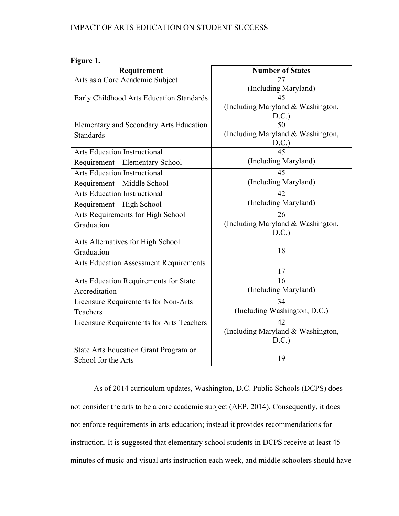| іонг |
|------|
|------|

| Requirement                                   | <b>Number of States</b>           |
|-----------------------------------------------|-----------------------------------|
| Arts as a Core Academic Subject               | 27                                |
|                                               | (Including Maryland)              |
| Early Childhood Arts Education Standards      | 45                                |
|                                               | (Including Maryland & Washington, |
|                                               | D.C.                              |
| Elementary and Secondary Arts Education       | 50                                |
| <b>Standards</b>                              | (Including Maryland & Washington, |
|                                               | D.C.)                             |
| <b>Arts Education Instructional</b>           | 45                                |
| Requirement-Elementary School                 | (Including Maryland)              |
| <b>Arts Education Instructional</b>           | 45                                |
| Requirement-Middle School                     | (Including Maryland)              |
| <b>Arts Education Instructional</b>           | 42                                |
| Requirement-High School                       | (Including Maryland)              |
| Arts Requirements for High School             | 26                                |
| Graduation                                    | (Including Maryland & Washington, |
|                                               | D.C.                              |
| Arts Alternatives for High School             |                                   |
| Graduation                                    | 18                                |
| <b>Arts Education Assessment Requirements</b> |                                   |
|                                               | 17                                |
| Arts Education Requirements for State         | 16                                |
| Accreditation                                 | (Including Maryland)              |
| Licensure Requirements for Non-Arts           | 34                                |
| <b>Teachers</b>                               | (Including Washington, D.C.)      |
| Licensure Requirements for Arts Teachers      | 42                                |
|                                               | (Including Maryland & Washington, |
|                                               | D.C.                              |
| State Arts Education Grant Program or         |                                   |
| School for the Arts                           | 19                                |

As of 2014 curriculum updates, Washington, D.C. Public Schools (DCPS) does not consider the arts to be a core academic subject (AEP, 2014). Consequently, it does not enforce requirements in arts education; instead it provides recommendations for instruction. It is suggested that elementary school students in DCPS receive at least 45 minutes of music and visual arts instruction each week, and middle schoolers should have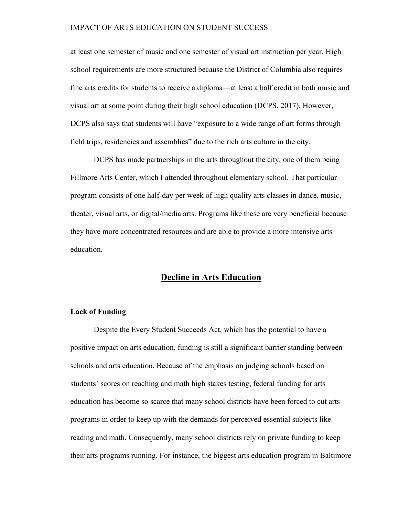at least one semester of music and one semester of visual art instruction per year. High school requirements are more structured because the District of Columbia also requires fine arts credits for students to receive a diploma—at least a half credit in both music and visual art at some point during their high school education (DCPS, 2017). However, DCPS also says that students will have "exposure to a wide range of art forms through field trips, residencies and assemblies" due to the rich arts culture in the city.

DCPS has made partnerships in the arts throughout the city, one of them being Fillmore Arts Center, which I attended throughout elementary school. That particular program consists of one half-day per week of high quality arts classes in dance, music, theater, visual arts, or digital/media arts. Programs like these are very beneficial because they have more concentrated resources and are able to provide a more intensive arts education.

# **Decline in Arts Education**

# **Lack of Funding**

Despite the Every Student Succeeds Act, which has the potential to have a positive impact on arts education, funding is still a significant barrier standing between schools and arts education. Because of the emphasis on judging schools based on students' scores on reaching and math high stakes testing, federal funding for arts education has become so scarce that many school districts have been forced to cut arts programs in order to keep up with the demands for perceived essential subjects like reading and math. Consequently, many school districts rely on private funding to keep their arts programs running. For instance, the biggest arts education program in Baltimore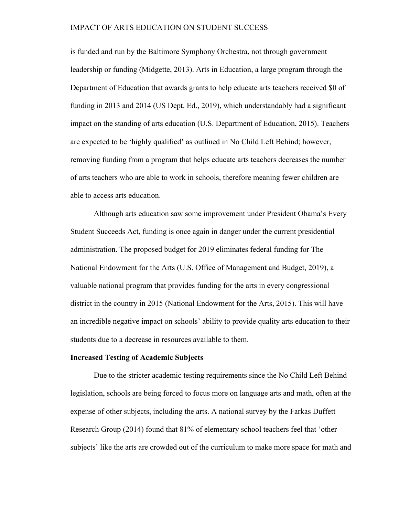is funded and run by the Baltimore Symphony Orchestra, not through government leadership or funding (Midgette, 2013). Arts in Education, a large program through the Department of Education that awards grants to help educate arts teachers received \$0 of funding in 2013 and 2014 (US Dept. Ed., 2019), which understandably had a significant impact on the standing of arts education (U.S. Department of Education, 2015). Teachers are expected to be 'highly qualified' as outlined in No Child Left Behind; however, removing funding from a program that helps educate arts teachers decreases the number of arts teachers who are able to work in schools, therefore meaning fewer children are able to access arts education.

Although arts education saw some improvement under President Obama's Every Student Succeeds Act, funding is once again in danger under the current presidential administration. The proposed budget for 2019 eliminates federal funding for The National Endowment for the Arts (U.S. Office of Management and Budget, 2019), a valuable national program that provides funding for the arts in every congressional district in the country in 2015 (National Endowment for the Arts, 2015). This will have an incredible negative impact on schools' ability to provide quality arts education to their students due to a decrease in resources available to them.

#### **Increased Testing of Academic Subjects**

Due to the stricter academic testing requirements since the No Child Left Behind legislation, schools are being forced to focus more on language arts and math, often at the expense of other subjects, including the arts. A national survey by the Farkas Duffett Research Group (2014) found that 81% of elementary school teachers feel that 'other subjects' like the arts are crowded out of the curriculum to make more space for math and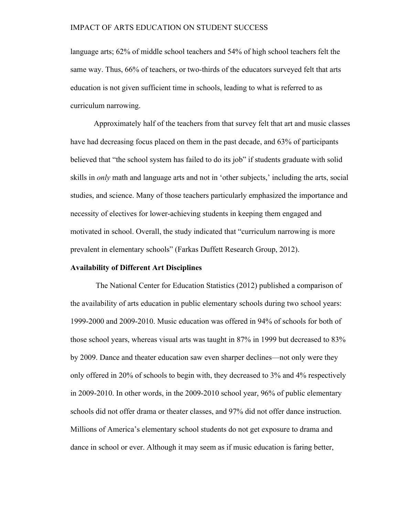language arts; 62% of middle school teachers and 54% of high school teachers felt the same way. Thus, 66% of teachers, or two-thirds of the educators surveyed felt that arts education is not given sufficient time in schools, leading to what is referred to as curriculum narrowing.

Approximately half of the teachers from that survey felt that art and music classes have had decreasing focus placed on them in the past decade, and 63% of participants believed that "the school system has failed to do its job" if students graduate with solid skills in *only* math and language arts and not in 'other subjects,' including the arts, social studies, and science. Many of those teachers particularly emphasized the importance and necessity of electives for lower-achieving students in keeping them engaged and motivated in school. Overall, the study indicated that "curriculum narrowing is more prevalent in elementary schools" (Farkas Duffett Research Group, 2012).

#### **Availability of Different Art Disciplines**

The National Center for Education Statistics (2012) published a comparison of the availability of arts education in public elementary schools during two school years: 1999-2000 and 2009-2010. Music education was offered in 94% of schools for both of those school years, whereas visual arts was taught in 87% in 1999 but decreased to 83% by 2009. Dance and theater education saw even sharper declines—not only were they only offered in 20% of schools to begin with, they decreased to 3% and 4% respectively in 2009-2010. In other words, in the 2009-2010 school year, 96% of public elementary schools did not offer drama or theater classes, and 97% did not offer dance instruction. Millions of America's elementary school students do not get exposure to drama and dance in school or ever. Although it may seem as if music education is faring better,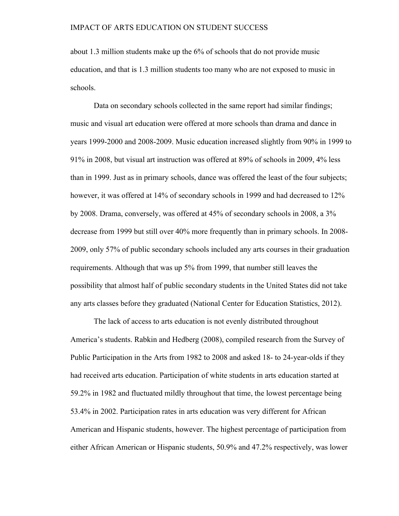about 1.3 million students make up the 6% of schools that do not provide music education, and that is 1.3 million students too many who are not exposed to music in schools.

Data on secondary schools collected in the same report had similar findings; music and visual art education were offered at more schools than drama and dance in years 1999-2000 and 2008-2009. Music education increased slightly from 90% in 1999 to 91% in 2008, but visual art instruction was offered at 89% of schools in 2009, 4% less than in 1999. Just as in primary schools, dance was offered the least of the four subjects; however, it was offered at 14% of secondary schools in 1999 and had decreased to 12% by 2008. Drama, conversely, was offered at 45% of secondary schools in 2008, a 3% decrease from 1999 but still over 40% more frequently than in primary schools. In 2008- 2009, only 57% of public secondary schools included any arts courses in their graduation requirements. Although that was up 5% from 1999, that number still leaves the possibility that almost half of public secondary students in the United States did not take any arts classes before they graduated (National Center for Education Statistics, 2012).

The lack of access to arts education is not evenly distributed throughout America's students. Rabkin and Hedberg (2008), compiled research from the Survey of Public Participation in the Arts from 1982 to 2008 and asked 18- to 24-year-olds if they had received arts education. Participation of white students in arts education started at 59.2% in 1982 and fluctuated mildly throughout that time, the lowest percentage being 53.4% in 2002. Participation rates in arts education was very different for African American and Hispanic students, however. The highest percentage of participation from either African American or Hispanic students, 50.9% and 47.2% respectively, was lower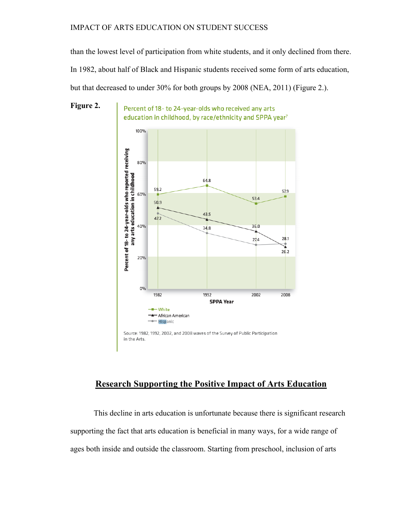than the lowest level of participation from white students, and it only declined from there. In 1982, about half of Black and Hispanic students received some form of arts education, but that decreased to under 30% for both groups by 2008 (NEA, 2011) (Figure 2.).



Percent of 18- to 24-year-olds who received any arts education in childhood, by race/ethnicity and SPPA year<sup>7</sup>



# **Research Supporting the Positive Impact of Arts Education**

This decline in arts education is unfortunate because there is significant research supporting the fact that arts education is beneficial in many ways, for a wide range of ages both inside and outside the classroom. Starting from preschool, inclusion of arts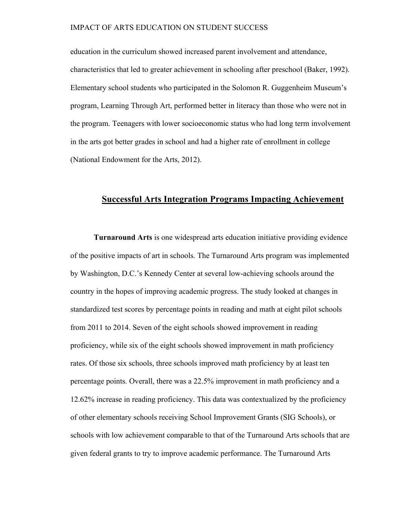education in the curriculum showed increased parent involvement and attendance, characteristics that led to greater achievement in schooling after preschool (Baker, 1992). Elementary school students who participated in the Solomon R. Guggenheim Museum's program, Learning Through Art, performed better in literacy than those who were not in the program. Teenagers with lower socioeconomic status who had long term involvement in the arts got better grades in school and had a higher rate of enrollment in college (National Endowment for the Arts, 2012).

# **Successful Arts Integration Programs Impacting Achievement**

**Turnaround Arts** is one widespread arts education initiative providing evidence of the positive impacts of art in schools. The Turnaround Arts program was implemented by Washington, D.C.'s Kennedy Center at several low-achieving schools around the country in the hopes of improving academic progress. The study looked at changes in standardized test scores by percentage points in reading and math at eight pilot schools from 2011 to 2014. Seven of the eight schools showed improvement in reading proficiency, while six of the eight schools showed improvement in math proficiency rates. Of those six schools, three schools improved math proficiency by at least ten percentage points. Overall, there was a 22.5% improvement in math proficiency and a 12.62% increase in reading proficiency. This data was contextualized by the proficiency of other elementary schools receiving School Improvement Grants (SIG Schools), or schools with low achievement comparable to that of the Turnaround Arts schools that are given federal grants to try to improve academic performance. The Turnaround Arts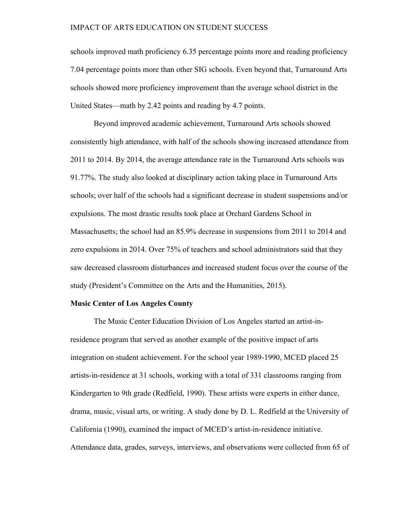schools improved math proficiency 6.35 percentage points more and reading proficiency 7.04 percentage points more than other SIG schools. Even beyond that, Turnaround Arts schools showed more proficiency improvement than the average school district in the United States—math by 2.42 points and reading by 4.7 points.

Beyond improved academic achievement, Turnaround Arts schools showed consistently high attendance, with half of the schools showing increased attendance from 2011 to 2014. By 2014, the average attendance rate in the Turnaround Arts schools was 91.77%. The study also looked at disciplinary action taking place in Turnaround Arts schools; over half of the schools had a significant decrease in student suspensions and/or expulsions. The most drastic results took place at Orchard Gardens School in Massachusetts; the school had an 85.9% decrease in suspensions from 2011 to 2014 and zero expulsions in 2014. Over 75% of teachers and school administrators said that they saw decreased classroom disturbances and increased student focus over the course of the study (President's Committee on the Arts and the Humanities, 2015).

#### **Music Center of Los Angeles County**

The Music Center Education Division of Los Angeles started an artist-inresidence program that served as another example of the positive impact of arts integration on student achievement. For the school year 1989-1990, MCED placed 25 artists-in-residence at 31 schools, working with a total of 331 classrooms ranging from Kindergarten to 9th grade (Redfield, 1990). These artists were experts in either dance, drama, music, visual arts, or writing. A study done by D. L. Redfield at the University of California (1990), examined the impact of MCED's artist-in-residence initiative. Attendance data, grades, surveys, interviews, and observations were collected from 65 of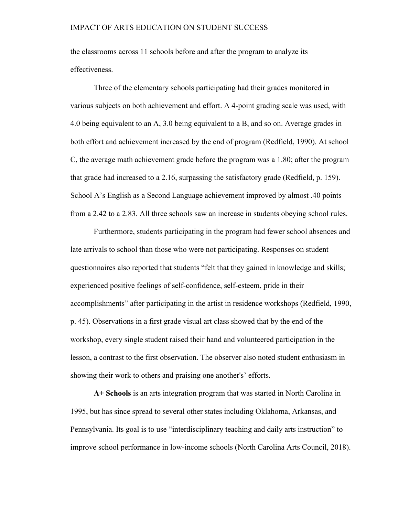the classrooms across 11 schools before and after the program to analyze its effectiveness.

Three of the elementary schools participating had their grades monitored in various subjects on both achievement and effort. A 4-point grading scale was used, with 4.0 being equivalent to an A, 3.0 being equivalent to a B, and so on. Average grades in both effort and achievement increased by the end of program (Redfield, 1990). At school C, the average math achievement grade before the program was a 1.80; after the program that grade had increased to a 2.16, surpassing the satisfactory grade (Redfield, p. 159). School A's English as a Second Language achievement improved by almost .40 points from a 2.42 to a 2.83. All three schools saw an increase in students obeying school rules.

Furthermore, students participating in the program had fewer school absences and late arrivals to school than those who were not participating. Responses on student questionnaires also reported that students "felt that they gained in knowledge and skills; experienced positive feelings of self-confidence, self-esteem, pride in their accomplishments" after participating in the artist in residence workshops (Redfield, 1990, p. 45). Observations in a first grade visual art class showed that by the end of the workshop, every single student raised their hand and volunteered participation in the lesson, a contrast to the first observation. The observer also noted student enthusiasm in showing their work to others and praising one another's' efforts.

**A+ Schools** is an arts integration program that was started in North Carolina in 1995, but has since spread to several other states including Oklahoma, Arkansas, and Pennsylvania. Its goal is to use "interdisciplinary teaching and daily arts instruction" to improve school performance in low-income schools (North Carolina Arts Council, 2018).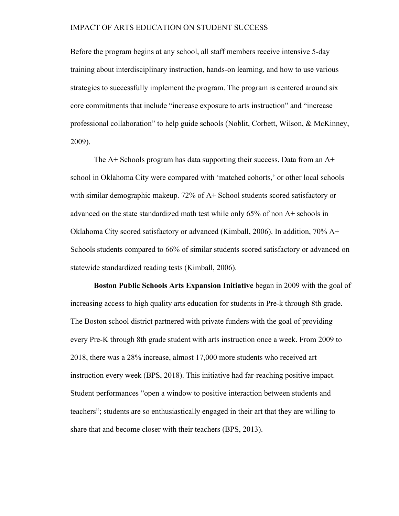Before the program begins at any school, all staff members receive intensive 5-day training about interdisciplinary instruction, hands-on learning, and how to use various strategies to successfully implement the program. The program is centered around six core commitments that include "increase exposure to arts instruction" and "increase professional collaboration" to help guide schools (Noblit, Corbett, Wilson, & McKinney, 2009).

The A+ Schools program has data supporting their success. Data from an A+ school in Oklahoma City were compared with 'matched cohorts,' or other local schools with similar demographic makeup. 72% of A+ School students scored satisfactory or advanced on the state standardized math test while only 65% of non A+ schools in Oklahoma City scored satisfactory or advanced (Kimball, 2006). In addition, 70% A+ Schools students compared to 66% of similar students scored satisfactory or advanced on statewide standardized reading tests (Kimball, 2006).

**Boston Public Schools Arts Expansion Initiative** began in 2009 with the goal of increasing access to high quality arts education for students in Pre-k through 8th grade. The Boston school district partnered with private funders with the goal of providing every Pre-K through 8th grade student with arts instruction once a week. From 2009 to 2018, there was a 28% increase, almost 17,000 more students who received art instruction every week (BPS, 2018). This initiative had far-reaching positive impact. Student performances "open a window to positive interaction between students and teachers"; students are so enthusiastically engaged in their art that they are willing to share that and become closer with their teachers (BPS, 2013).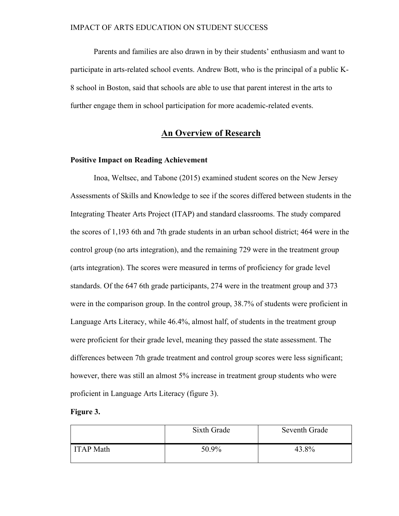Parents and families are also drawn in by their students' enthusiasm and want to participate in arts-related school events. Andrew Bott, who is the principal of a public K-8 school in Boston, said that schools are able to use that parent interest in the arts to further engage them in school participation for more academic-related events.

# **An Overview of Research**

## **Positive Impact on Reading Achievement**

Inoa, Weltsec, and Tabone (2015) examined student scores on the New Jersey Assessments of Skills and Knowledge to see if the scores differed between students in the Integrating Theater Arts Project (ITAP) and standard classrooms. The study compared the scores of 1,193 6th and 7th grade students in an urban school district; 464 were in the control group (no arts integration), and the remaining 729 were in the treatment group (arts integration). The scores were measured in terms of proficiency for grade level standards. Of the 647 6th grade participants, 274 were in the treatment group and 373 were in the comparison group. In the control group, 38.7% of students were proficient in Language Arts Literacy, while 46.4%, almost half, of students in the treatment group were proficient for their grade level, meaning they passed the state assessment. The differences between 7th grade treatment and control group scores were less significant; however, there was still an almost 5% increase in treatment group students who were proficient in Language Arts Literacy (figure 3).

#### **Figure 3.**

|                  | Sixth Grade | Seventh Grade |
|------------------|-------------|---------------|
| <b>ITAP</b> Math | 50.9%       | 43.8%         |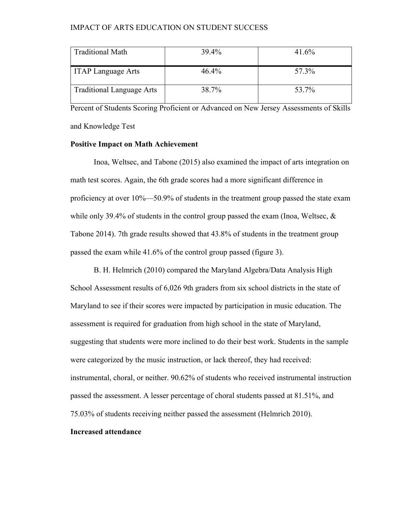| <b>Traditional Math</b>   | 39.4% | 41.6% |
|---------------------------|-------|-------|
| TTAP Language Arts        | 46.4% | 57.3% |
| Traditional Language Arts | 38.7% | 53.7% |

Percent of Students Scoring Proficient or Advanced on New Jersey Assessments of Skills and Knowledge Test

#### **Positive Impact on Math Achievement**

Inoa, Weltsec, and Tabone (2015) also examined the impact of arts integration on math test scores. Again, the 6th grade scores had a more significant difference in proficiency at over 10%—50.9% of students in the treatment group passed the state exam while only 39.4% of students in the control group passed the exam (Inoa, Weltsec, & Tabone 2014). 7th grade results showed that 43.8% of students in the treatment group passed the exam while 41.6% of the control group passed (figure 3).

 B. H. Helmrich (2010) compared the Maryland Algebra/Data Analysis High School Assessment results of 6,026 9th graders from six school districts in the state of Maryland to see if their scores were impacted by participation in music education. The assessment is required for graduation from high school in the state of Maryland, suggesting that students were more inclined to do their best work. Students in the sample were categorized by the music instruction, or lack thereof, they had received: instrumental, choral, or neither. 90.62% of students who received instrumental instruction passed the assessment. A lesser percentage of choral students passed at 81.51%, and 75.03% of students receiving neither passed the assessment (Helmrich 2010).

#### **Increased attendance**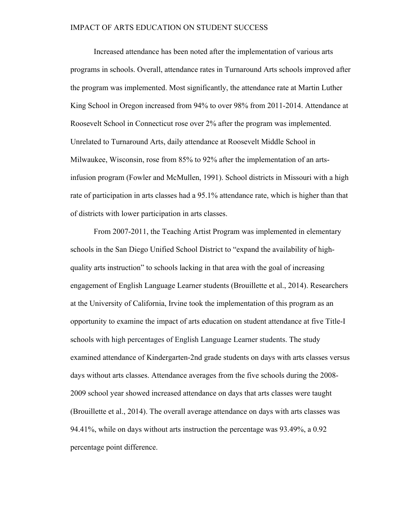Increased attendance has been noted after the implementation of various arts programs in schools. Overall, attendance rates in Turnaround Arts schools improved after the program was implemented. Most significantly, the attendance rate at Martin Luther King School in Oregon increased from 94% to over 98% from 2011-2014. Attendance at Roosevelt School in Connecticut rose over 2% after the program was implemented. Unrelated to Turnaround Arts, daily attendance at Roosevelt Middle School in Milwaukee, Wisconsin, rose from 85% to 92% after the implementation of an artsinfusion program (Fowler and McMullen, 1991). School districts in Missouri with a high rate of participation in arts classes had a 95.1% attendance rate, which is higher than that of districts with lower participation in arts classes.

From 2007-2011, the Teaching Artist Program was implemented in elementary schools in the San Diego Unified School District to "expand the availability of highquality arts instruction" to schools lacking in that area with the goal of increasing engagement of English Language Learner students (Brouillette et al., 2014). Researchers at the University of California, Irvine took the implementation of this program as an opportunity to examine the impact of arts education on student attendance at five Title-I schools with high percentages of English Language Learner students. The study examined attendance of Kindergarten-2nd grade students on days with arts classes versus days without arts classes. Attendance averages from the five schools during the 2008- 2009 school year showed increased attendance on days that arts classes were taught (Brouillette et al., 2014). The overall average attendance on days with arts classes was 94.41%, while on days without arts instruction the percentage was 93.49%, a 0.92 percentage point difference.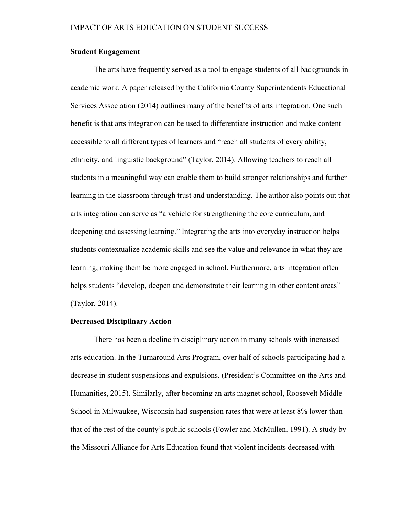# **Student Engagement**

The arts have frequently served as a tool to engage students of all backgrounds in academic work. A paper released by the California County Superintendents Educational Services Association (2014) outlines many of the benefits of arts integration. One such benefit is that arts integration can be used to differentiate instruction and make content accessible to all different types of learners and "reach all students of every ability, ethnicity, and linguistic background" (Taylor, 2014). Allowing teachers to reach all students in a meaningful way can enable them to build stronger relationships and further learning in the classroom through trust and understanding. The author also points out that arts integration can serve as "a vehicle for strengthening the core curriculum, and deepening and assessing learning." Integrating the arts into everyday instruction helps students contextualize academic skills and see the value and relevance in what they are learning, making them be more engaged in school. Furthermore, arts integration often helps students "develop, deepen and demonstrate their learning in other content areas" (Taylor, 2014).

#### **Decreased Disciplinary Action**

There has been a decline in disciplinary action in many schools with increased arts education. In the Turnaround Arts Program, over half of schools participating had a decrease in student suspensions and expulsions. (President's Committee on the Arts and Humanities, 2015). Similarly, after becoming an arts magnet school, Roosevelt Middle School in Milwaukee, Wisconsin had suspension rates that were at least 8% lower than that of the rest of the county's public schools (Fowler and McMullen, 1991). A study by the Missouri Alliance for Arts Education found that violent incidents decreased with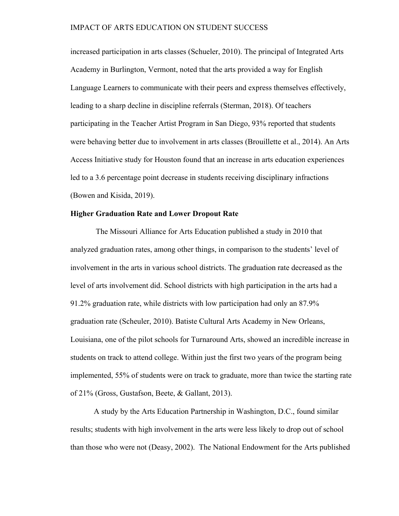increased participation in arts classes (Schueler, 2010). The principal of Integrated Arts Academy in Burlington, Vermont, noted that the arts provided a way for English Language Learners to communicate with their peers and express themselves effectively, leading to a sharp decline in discipline referrals (Sterman, 2018). Of teachers participating in the Teacher Artist Program in San Diego, 93% reported that students were behaving better due to involvement in arts classes (Brouillette et al., 2014). An Arts Access Initiative study for Houston found that an increase in arts education experiences led to a 3.6 percentage point decrease in students receiving disciplinary infractions (Bowen and Kisida, 2019).

# **Higher Graduation Rate and Lower Dropout Rate**

The Missouri Alliance for Arts Education published a study in 2010 that analyzed graduation rates, among other things, in comparison to the students' level of involvement in the arts in various school districts. The graduation rate decreased as the level of arts involvement did. School districts with high participation in the arts had a 91.2% graduation rate, while districts with low participation had only an 87.9% graduation rate (Scheuler, 2010). Batiste Cultural Arts Academy in New Orleans, Louisiana, one of the pilot schools for Turnaround Arts, showed an incredible increase in students on track to attend college. Within just the first two years of the program being implemented, 55% of students were on track to graduate, more than twice the starting rate of 21% (Gross, Gustafson, Beete, & Gallant, 2013).

A study by the Arts Education Partnership in Washington, D.C., found similar results; students with high involvement in the arts were less likely to drop out of school than those who were not (Deasy, 2002). The National Endowment for the Arts published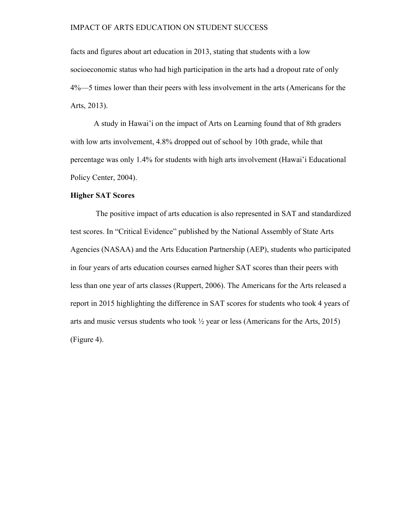facts and figures about art education in 2013, stating that students with a low socioeconomic status who had high participation in the arts had a dropout rate of only 4%—5 times lower than their peers with less involvement in the arts (Americans for the Arts, 2013).

A study in Hawai'i on the impact of Arts on Learning found that of 8th graders with low arts involvement, 4.8% dropped out of school by 10th grade, while that percentage was only 1.4% for students with high arts involvement (Hawai'i Educational Policy Center, 2004).

# **Higher SAT Scores**

The positive impact of arts education is also represented in SAT and standardized test scores. In "Critical Evidence" published by the National Assembly of State Arts Agencies (NASAA) and the Arts Education Partnership (AEP), students who participated in four years of arts education courses earned higher SAT scores than their peers with less than one year of arts classes (Ruppert, 2006). The Americans for the Arts released a report in 2015 highlighting the difference in SAT scores for students who took 4 years of arts and music versus students who took  $\frac{1}{2}$  year or less (Americans for the Arts, 2015) (Figure 4).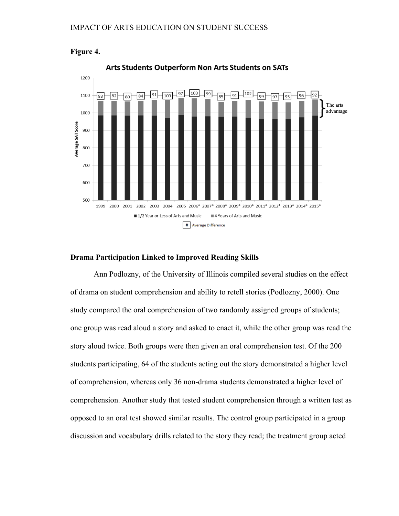



### **Drama Participation Linked to Improved Reading Skills**

Ann Podlozny, of the University of Illinois compiled several studies on the effect of drama on student comprehension and ability to retell stories (Podlozny, 2000). One study compared the oral comprehension of two randomly assigned groups of students; one group was read aloud a story and asked to enact it, while the other group was read the story aloud twice. Both groups were then given an oral comprehension test. Of the 200 students participating, 64 of the students acting out the story demonstrated a higher level of comprehension, whereas only 36 non-drama students demonstrated a higher level of comprehension. Another study that tested student comprehension through a written test as opposed to an oral test showed similar results. The control group participated in a group discussion and vocabulary drills related to the story they read; the treatment group acted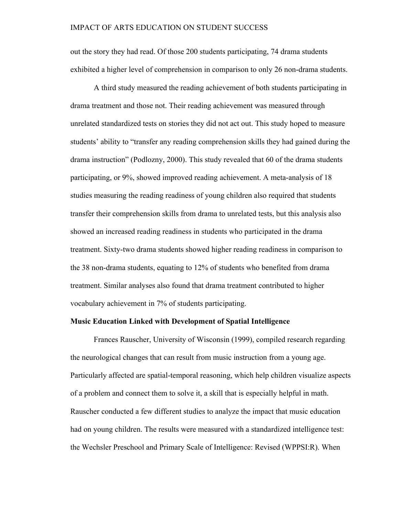out the story they had read. Of those 200 students participating, 74 drama students exhibited a higher level of comprehension in comparison to only 26 non-drama students.

A third study measured the reading achievement of both students participating in drama treatment and those not. Their reading achievement was measured through unrelated standardized tests on stories they did not act out. This study hoped to measure students' ability to "transfer any reading comprehension skills they had gained during the drama instruction" (Podlozny, 2000). This study revealed that 60 of the drama students participating, or 9%, showed improved reading achievement. A meta-analysis of 18 studies measuring the reading readiness of young children also required that students transfer their comprehension skills from drama to unrelated tests, but this analysis also showed an increased reading readiness in students who participated in the drama treatment. Sixty-two drama students showed higher reading readiness in comparison to the 38 non-drama students, equating to 12% of students who benefited from drama treatment. Similar analyses also found that drama treatment contributed to higher vocabulary achievement in 7% of students participating.

#### **Music Education Linked with Development of Spatial Intelligence**

Frances Rauscher, University of Wisconsin (1999), compiled research regarding the neurological changes that can result from music instruction from a young age. Particularly affected are spatial-temporal reasoning, which help children visualize aspects of a problem and connect them to solve it, a skill that is especially helpful in math. Rauscher conducted a few different studies to analyze the impact that music education had on young children. The results were measured with a standardized intelligence test: the Wechsler Preschool and Primary Scale of Intelligence: Revised (WPPSI:R). When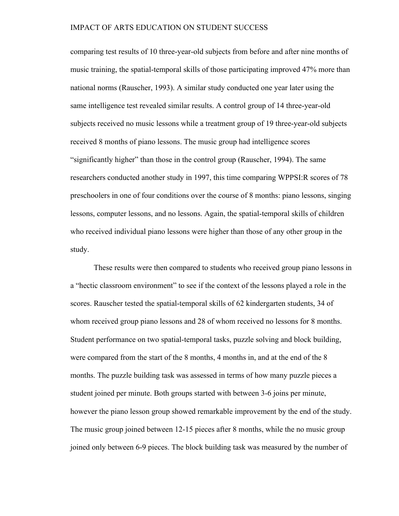comparing test results of 10 three-year-old subjects from before and after nine months of music training, the spatial-temporal skills of those participating improved 47% more than national norms (Rauscher, 1993). A similar study conducted one year later using the same intelligence test revealed similar results. A control group of 14 three-year-old subjects received no music lessons while a treatment group of 19 three-year-old subjects received 8 months of piano lessons. The music group had intelligence scores "significantly higher" than those in the control group (Rauscher, 1994). The same researchers conducted another study in 1997, this time comparing WPPSI:R scores of 78 preschoolers in one of four conditions over the course of 8 months: piano lessons, singing lessons, computer lessons, and no lessons. Again, the spatial-temporal skills of children who received individual piano lessons were higher than those of any other group in the study.

These results were then compared to students who received group piano lessons in a "hectic classroom environment" to see if the context of the lessons played a role in the scores. Rauscher tested the spatial-temporal skills of 62 kindergarten students, 34 of whom received group piano lessons and 28 of whom received no lessons for 8 months. Student performance on two spatial-temporal tasks, puzzle solving and block building, were compared from the start of the 8 months, 4 months in, and at the end of the 8 months. The puzzle building task was assessed in terms of how many puzzle pieces a student joined per minute. Both groups started with between 3-6 joins per minute, however the piano lesson group showed remarkable improvement by the end of the study. The music group joined between 12-15 pieces after 8 months, while the no music group joined only between 6-9 pieces. The block building task was measured by the number of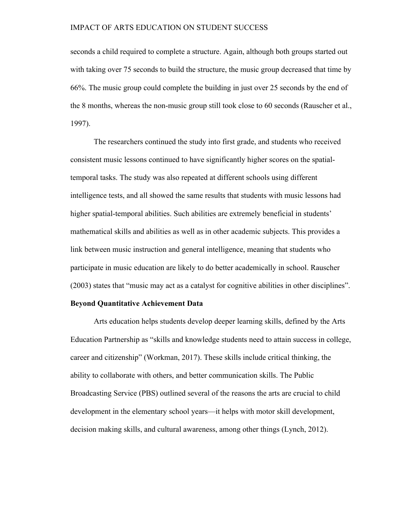seconds a child required to complete a structure. Again, although both groups started out with taking over 75 seconds to build the structure, the music group decreased that time by 66%. The music group could complete the building in just over 25 seconds by the end of the 8 months, whereas the non-music group still took close to 60 seconds (Rauscher et al., 1997).

The researchers continued the study into first grade, and students who received consistent music lessons continued to have significantly higher scores on the spatialtemporal tasks. The study was also repeated at different schools using different intelligence tests, and all showed the same results that students with music lessons had higher spatial-temporal abilities. Such abilities are extremely beneficial in students' mathematical skills and abilities as well as in other academic subjects. This provides a link between music instruction and general intelligence, meaning that students who participate in music education are likely to do better academically in school. Rauscher (2003) states that "music may act as a catalyst for cognitive abilities in other disciplines".

#### **Beyond Quantitative Achievement Data**

Arts education helps students develop deeper learning skills, defined by the Arts Education Partnership as "skills and knowledge students need to attain success in college, career and citizenship" (Workman, 2017). These skills include critical thinking, the ability to collaborate with others, and better communication skills. The Public Broadcasting Service (PBS) outlined several of the reasons the arts are crucial to child development in the elementary school years—it helps with motor skill development, decision making skills, and cultural awareness, among other things (Lynch, 2012).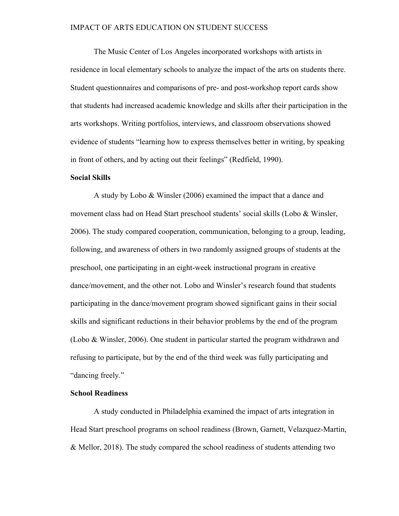The Music Center of Los Angeles incorporated workshops with artists in residence in local elementary schools to analyze the impact of the arts on students there. Student questionnaires and comparisons of pre- and post-workshop report cards show that students had increased academic knowledge and skills after their participation in the arts workshops. Writing portfolios, interviews, and classroom observations showed evidence of students "learning how to express themselves better in writing, by speaking in front of others, and by acting out their feelings" (Redfield, 1990).

#### **Social Skills**

A study by Lobo & Winsler (2006) examined the impact that a dance and movement class had on Head Start preschool students' social skills (Lobo & Winsler, 2006). The study compared cooperation, communication, belonging to a group, leading, following, and awareness of others in two randomly assigned groups of students at the preschool, one participating in an eight-week instructional program in creative dance/movement, and the other not. Lobo and Winsler's research found that students participating in the dance/movement program showed significant gains in their social skills and significant reductions in their behavior problems by the end of the program (Lobo & Winsler, 2006). One student in particular started the program withdrawn and refusing to participate, but by the end of the third week was fully participating and "dancing freely."

# **School Readiness**

A study conducted in Philadelphia examined the impact of arts integration in Head Start preschool programs on school readiness (Brown, Garnett, Velazquez-Martin, & Mellor, 2018). The study compared the school readiness of students attending two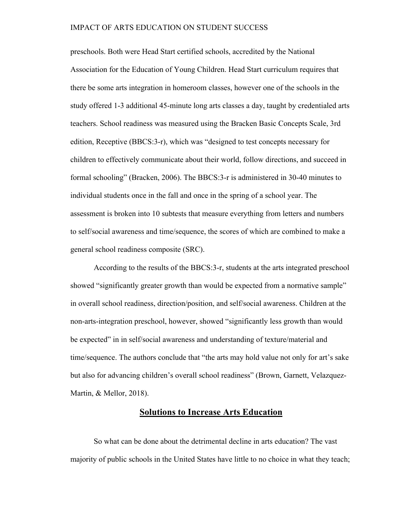preschools. Both were Head Start certified schools, accredited by the National Association for the Education of Young Children. Head Start curriculum requires that there be some arts integration in homeroom classes, however one of the schools in the study offered 1-3 additional 45-minute long arts classes a day, taught by credentialed arts teachers. School readiness was measured using the Bracken Basic Concepts Scale, 3rd edition, Receptive (BBCS:3-r), which was "designed to test concepts necessary for children to effectively communicate about their world, follow directions, and succeed in formal schooling" (Bracken, 2006). The BBCS:3-r is administered in 30-40 minutes to individual students once in the fall and once in the spring of a school year. The assessment is broken into 10 subtests that measure everything from letters and numbers to self/social awareness and time/sequence, the scores of which are combined to make a general school readiness composite (SRC).

According to the results of the BBCS:3-r, students at the arts integrated preschool showed "significantly greater growth than would be expected from a normative sample" in overall school readiness, direction/position, and self/social awareness. Children at the non-arts-integration preschool, however, showed "significantly less growth than would be expected" in in self/social awareness and understanding of texture/material and time/sequence. The authors conclude that "the arts may hold value not only for art's sake but also for advancing children's overall school readiness" (Brown, Garnett, Velazquez-Martin, & Mellor, 2018).

# **Solutions to Increase Arts Education**

So what can be done about the detrimental decline in arts education? The vast majority of public schools in the United States have little to no choice in what they teach;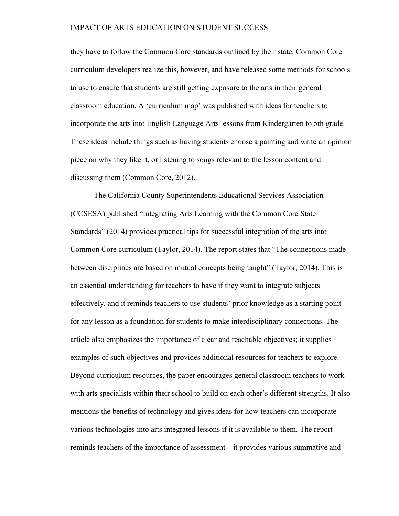they have to follow the Common Core standards outlined by their state. Common Core curriculum developers realize this, however, and have released some methods for schools to use to ensure that students are still getting exposure to the arts in their general classroom education. A 'curriculum map' was published with ideas for teachers to incorporate the arts into English Language Arts lessons from Kindergarten to 5th grade. These ideas include things such as having students choose a painting and write an opinion piece on why they like it, or listening to songs relevant to the lesson content and discussing them (Common Core, 2012).

The California County Superintendents Educational Services Association (CCSESA) published "Integrating Arts Learning with the Common Core State Standards" (2014) provides practical tips for successful integration of the arts into Common Core curriculum (Taylor, 2014). The report states that "The connections made between disciplines are based on mutual concepts being taught" (Taylor, 2014). This is an essential understanding for teachers to have if they want to integrate subjects effectively, and it reminds teachers to use students' prior knowledge as a starting point for any lesson as a foundation for students to make interdisciplinary connections. The article also emphasizes the importance of clear and reachable objectives; it supplies examples of such objectives and provides additional resources for teachers to explore. Beyond curriculum resources, the paper encourages general classroom teachers to work with arts specialists within their school to build on each other's different strengths. It also mentions the benefits of technology and gives ideas for how teachers can incorporate various technologies into arts integrated lessons if it is available to them. The report reminds teachers of the importance of assessment—it provides various summative and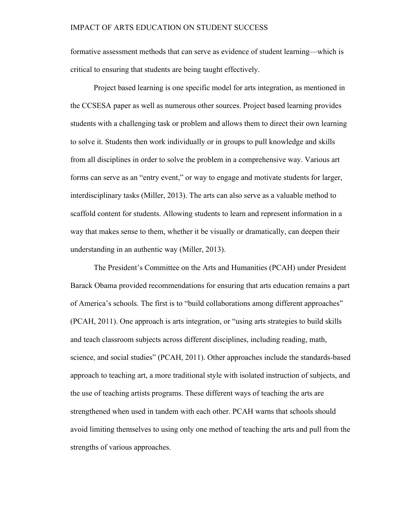formative assessment methods that can serve as evidence of student learning—which is critical to ensuring that students are being taught effectively.

Project based learning is one specific model for arts integration, as mentioned in the CCSESA paper as well as numerous other sources. Project based learning provides students with a challenging task or problem and allows them to direct their own learning to solve it. Students then work individually or in groups to pull knowledge and skills from all disciplines in order to solve the problem in a comprehensive way. Various art forms can serve as an "entry event," or way to engage and motivate students for larger, interdisciplinary tasks (Miller, 2013). The arts can also serve as a valuable method to scaffold content for students. Allowing students to learn and represent information in a way that makes sense to them, whether it be visually or dramatically, can deepen their understanding in an authentic way (Miller, 2013).

The President's Committee on the Arts and Humanities (PCAH) under President Barack Obama provided recommendations for ensuring that arts education remains a part of America's schools. The first is to "build collaborations among different approaches" (PCAH, 2011). One approach is arts integration, or "using arts strategies to build skills and teach classroom subjects across different disciplines, including reading, math, science, and social studies" (PCAH, 2011). Other approaches include the standards-based approach to teaching art, a more traditional style with isolated instruction of subjects, and the use of teaching artists programs. These different ways of teaching the arts are strengthened when used in tandem with each other. PCAH warns that schools should avoid limiting themselves to using only one method of teaching the arts and pull from the strengths of various approaches.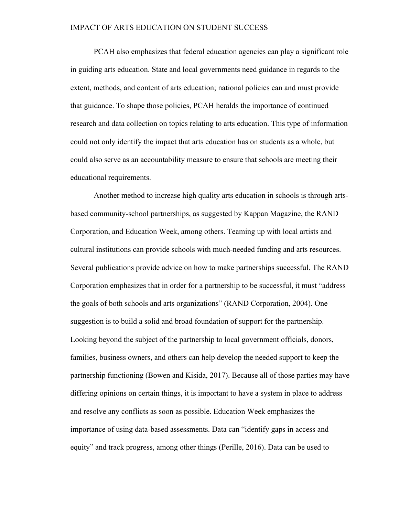PCAH also emphasizes that federal education agencies can play a significant role in guiding arts education. State and local governments need guidance in regards to the extent, methods, and content of arts education; national policies can and must provide that guidance. To shape those policies, PCAH heralds the importance of continued research and data collection on topics relating to arts education. This type of information could not only identify the impact that arts education has on students as a whole, but could also serve as an accountability measure to ensure that schools are meeting their educational requirements.

Another method to increase high quality arts education in schools is through artsbased community-school partnerships, as suggested by Kappan Magazine, the RAND Corporation, and Education Week, among others. Teaming up with local artists and cultural institutions can provide schools with much-needed funding and arts resources. Several publications provide advice on how to make partnerships successful. The RAND Corporation emphasizes that in order for a partnership to be successful, it must "address the goals of both schools and arts organizations" (RAND Corporation, 2004). One suggestion is to build a solid and broad foundation of support for the partnership. Looking beyond the subject of the partnership to local government officials, donors, families, business owners, and others can help develop the needed support to keep the partnership functioning (Bowen and Kisida, 2017). Because all of those parties may have differing opinions on certain things, it is important to have a system in place to address and resolve any conflicts as soon as possible. Education Week emphasizes the importance of using data-based assessments. Data can "identify gaps in access and equity" and track progress, among other things (Perille, 2016). Data can be used to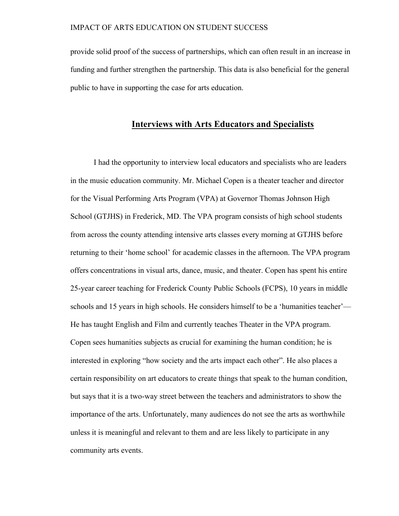provide solid proof of the success of partnerships, which can often result in an increase in funding and further strengthen the partnership. This data is also beneficial for the general public to have in supporting the case for arts education.

# **Interviews with Arts Educators and Specialists**

I had the opportunity to interview local educators and specialists who are leaders in the music education community. Mr. Michael Copen is a theater teacher and director for the Visual Performing Arts Program (VPA) at Governor Thomas Johnson High School (GTJHS) in Frederick, MD. The VPA program consists of high school students from across the county attending intensive arts classes every morning at GTJHS before returning to their 'home school' for academic classes in the afternoon. The VPA program offers concentrations in visual arts, dance, music, and theater. Copen has spent his entire 25-year career teaching for Frederick County Public Schools (FCPS), 10 years in middle schools and 15 years in high schools. He considers himself to be a 'humanities teacher'— He has taught English and Film and currently teaches Theater in the VPA program. Copen sees humanities subjects as crucial for examining the human condition; he is interested in exploring "how society and the arts impact each other". He also places a certain responsibility on art educators to create things that speak to the human condition, but says that it is a two-way street between the teachers and administrators to show the importance of the arts. Unfortunately, many audiences do not see the arts as worthwhile unless it is meaningful and relevant to them and are less likely to participate in any community arts events.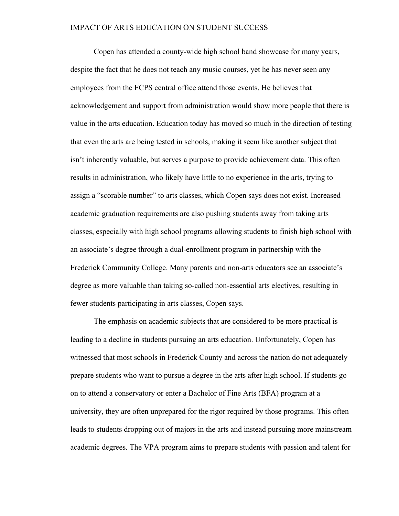Copen has attended a county-wide high school band showcase for many years, despite the fact that he does not teach any music courses, yet he has never seen any employees from the FCPS central office attend those events. He believes that acknowledgement and support from administration would show more people that there is value in the arts education. Education today has moved so much in the direction of testing that even the arts are being tested in schools, making it seem like another subject that isn't inherently valuable, but serves a purpose to provide achievement data. This often results in administration, who likely have little to no experience in the arts, trying to assign a "scorable number" to arts classes, which Copen says does not exist. Increased academic graduation requirements are also pushing students away from taking arts classes, especially with high school programs allowing students to finish high school with an associate's degree through a dual-enrollment program in partnership with the Frederick Community College. Many parents and non-arts educators see an associate's degree as more valuable than taking so-called non-essential arts electives, resulting in fewer students participating in arts classes, Copen says.

The emphasis on academic subjects that are considered to be more practical is leading to a decline in students pursuing an arts education. Unfortunately, Copen has witnessed that most schools in Frederick County and across the nation do not adequately prepare students who want to pursue a degree in the arts after high school. If students go on to attend a conservatory or enter a Bachelor of Fine Arts (BFA) program at a university, they are often unprepared for the rigor required by those programs. This often leads to students dropping out of majors in the arts and instead pursuing more mainstream academic degrees. The VPA program aims to prepare students with passion and talent for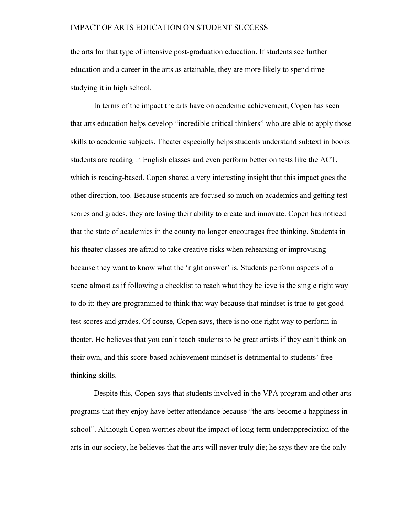the arts for that type of intensive post-graduation education. If students see further education and a career in the arts as attainable, they are more likely to spend time studying it in high school.

In terms of the impact the arts have on academic achievement, Copen has seen that arts education helps develop "incredible critical thinkers" who are able to apply those skills to academic subjects. Theater especially helps students understand subtext in books students are reading in English classes and even perform better on tests like the ACT, which is reading-based. Copen shared a very interesting insight that this impact goes the other direction, too. Because students are focused so much on academics and getting test scores and grades, they are losing their ability to create and innovate. Copen has noticed that the state of academics in the county no longer encourages free thinking. Students in his theater classes are afraid to take creative risks when rehearsing or improvising because they want to know what the 'right answer' is. Students perform aspects of a scene almost as if following a checklist to reach what they believe is the single right way to do it; they are programmed to think that way because that mindset is true to get good test scores and grades. Of course, Copen says, there is no one right way to perform in theater. He believes that you can't teach students to be great artists if they can't think on their own, and this score-based achievement mindset is detrimental to students' freethinking skills.

Despite this, Copen says that students involved in the VPA program and other arts programs that they enjoy have better attendance because "the arts become a happiness in school". Although Copen worries about the impact of long-term underappreciation of the arts in our society, he believes that the arts will never truly die; he says they are the only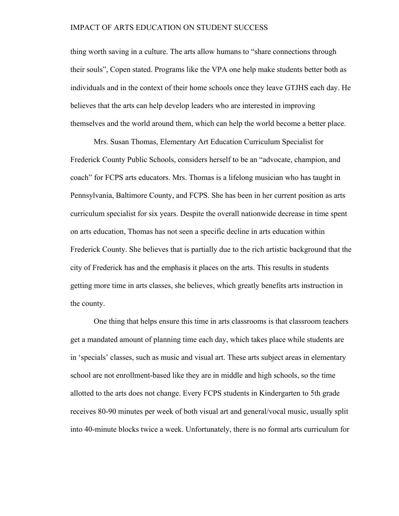thing worth saving in a culture. The arts allow humans to "share connections through their souls", Copen stated. Programs like the VPA one help make students better both as individuals and in the context of their home schools once they leave GTJHS each day. He believes that the arts can help develop leaders who are interested in improving themselves and the world around them, which can help the world become a better place.

Mrs. Susan Thomas, Elementary Art Education Curriculum Specialist for Frederick County Public Schools, considers herself to be an "advocate, champion, and coach" for FCPS arts educators. Mrs. Thomas is a lifelong musician who has taught in Pennsylvania, Baltimore County, and FCPS. She has been in her current position as arts curriculum specialist for six years. Despite the overall nationwide decrease in time spent on arts education, Thomas has not seen a specific decline in arts education within Frederick County. She believes that is partially due to the rich artistic background that the city of Frederick has and the emphasis it places on the arts. This results in students getting more time in arts classes, she believes, which greatly benefits arts instruction in the county.

One thing that helps ensure this time in arts classrooms is that classroom teachers get a mandated amount of planning time each day, which takes place while students are in 'specials' classes, such as music and visual art. These arts subject areas in elementary school are not enrollment-based like they are in middle and high schools, so the time allotted to the arts does not change. Every FCPS students in Kindergarten to 5th grade receives 80-90 minutes per week of both visual art and general/vocal music, usually split into 40-minute blocks twice a week. Unfortunately, there is no formal arts curriculum for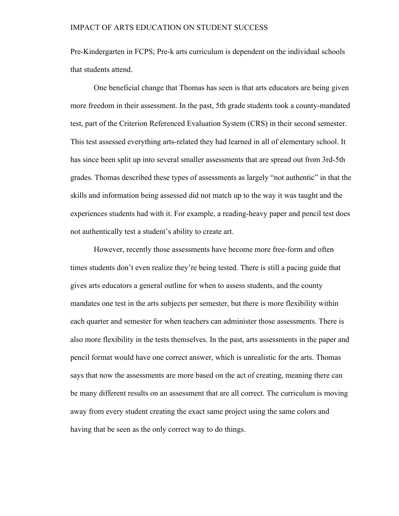Pre-Kindergarten in FCPS; Pre-k arts curriculum is dependent on the individual schools that students attend.

One beneficial change that Thomas has seen is that arts educators are being given more freedom in their assessment. In the past, 5th grade students took a county-mandated test, part of the Criterion Referenced Evaluation System (CRS) in their second semester. This test assessed everything arts-related they had learned in all of elementary school. It has since been split up into several smaller assessments that are spread out from 3rd-5th grades. Thomas described these types of assessments as largely "not authentic" in that the skills and information being assessed did not match up to the way it was taught and the experiences students had with it. For example, a reading-heavy paper and pencil test does not authentically test a student's ability to create art.

However, recently those assessments have become more free-form and often times students don't even realize they're being tested. There is still a pacing guide that gives arts educators a general outline for when to assess students, and the county mandates one test in the arts subjects per semester, but there is more flexibility within each quarter and semester for when teachers can administer those assessments. There is also more flexibility in the tests themselves. In the past, arts assessments in the paper and pencil format would have one correct answer, which is unrealistic for the arts. Thomas says that now the assessments are more based on the act of creating, meaning there can be many different results on an assessment that are all correct. The curriculum is moving away from every student creating the exact same project using the same colors and having that be seen as the only correct way to do things.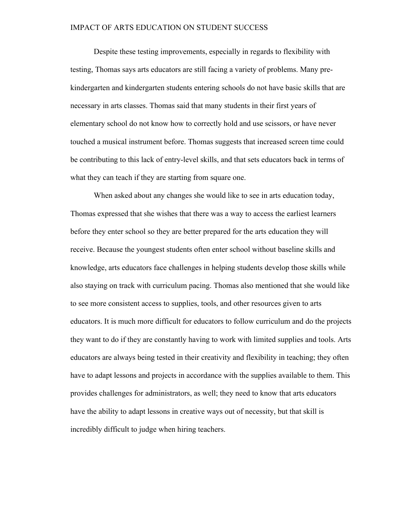Despite these testing improvements, especially in regards to flexibility with testing, Thomas says arts educators are still facing a variety of problems. Many prekindergarten and kindergarten students entering schools do not have basic skills that are necessary in arts classes. Thomas said that many students in their first years of elementary school do not know how to correctly hold and use scissors, or have never touched a musical instrument before. Thomas suggests that increased screen time could be contributing to this lack of entry-level skills, and that sets educators back in terms of what they can teach if they are starting from square one.

When asked about any changes she would like to see in arts education today, Thomas expressed that she wishes that there was a way to access the earliest learners before they enter school so they are better prepared for the arts education they will receive. Because the youngest students often enter school without baseline skills and knowledge, arts educators face challenges in helping students develop those skills while also staying on track with curriculum pacing. Thomas also mentioned that she would like to see more consistent access to supplies, tools, and other resources given to arts educators. It is much more difficult for educators to follow curriculum and do the projects they want to do if they are constantly having to work with limited supplies and tools. Arts educators are always being tested in their creativity and flexibility in teaching; they often have to adapt lessons and projects in accordance with the supplies available to them. This provides challenges for administrators, as well; they need to know that arts educators have the ability to adapt lessons in creative ways out of necessity, but that skill is incredibly difficult to judge when hiring teachers.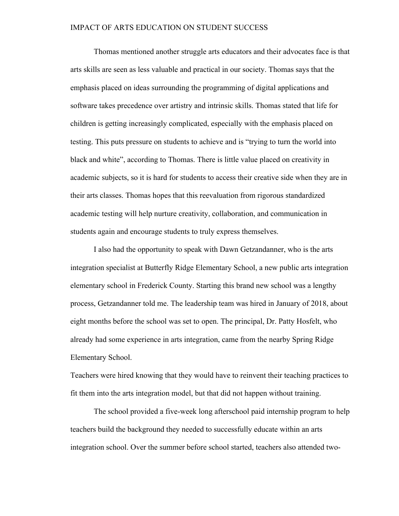Thomas mentioned another struggle arts educators and their advocates face is that arts skills are seen as less valuable and practical in our society. Thomas says that the emphasis placed on ideas surrounding the programming of digital applications and software takes precedence over artistry and intrinsic skills. Thomas stated that life for children is getting increasingly complicated, especially with the emphasis placed on testing. This puts pressure on students to achieve and is "trying to turn the world into black and white", according to Thomas. There is little value placed on creativity in academic subjects, so it is hard for students to access their creative side when they are in their arts classes. Thomas hopes that this reevaluation from rigorous standardized academic testing will help nurture creativity, collaboration, and communication in students again and encourage students to truly express themselves.

I also had the opportunity to speak with Dawn Getzandanner, who is the arts integration specialist at Butterfly Ridge Elementary School, a new public arts integration elementary school in Frederick County. Starting this brand new school was a lengthy process, Getzandanner told me. The leadership team was hired in January of 2018, about eight months before the school was set to open. The principal, Dr. Patty Hosfelt, who already had some experience in arts integration, came from the nearby Spring Ridge Elementary School.

Teachers were hired knowing that they would have to reinvent their teaching practices to fit them into the arts integration model, but that did not happen without training.

The school provided a five-week long afterschool paid internship program to help teachers build the background they needed to successfully educate within an arts integration school. Over the summer before school started, teachers also attended two-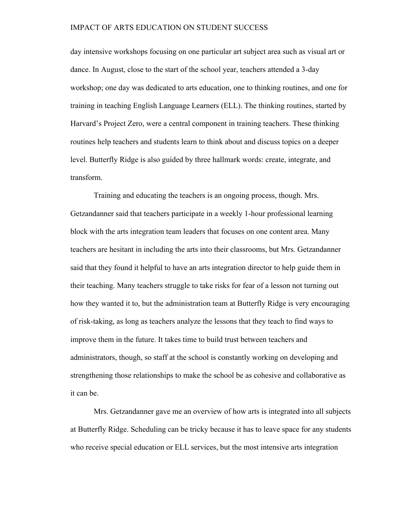day intensive workshops focusing on one particular art subject area such as visual art or dance. In August, close to the start of the school year, teachers attended a 3-day workshop; one day was dedicated to arts education, one to thinking routines, and one for training in teaching English Language Learners (ELL). The thinking routines, started by Harvard's Project Zero, were a central component in training teachers. These thinking routines help teachers and students learn to think about and discuss topics on a deeper level. Butterfly Ridge is also guided by three hallmark words: create, integrate, and transform.

Training and educating the teachers is an ongoing process, though. Mrs. Getzandanner said that teachers participate in a weekly 1-hour professional learning block with the arts integration team leaders that focuses on one content area. Many teachers are hesitant in including the arts into their classrooms, but Mrs. Getzandanner said that they found it helpful to have an arts integration director to help guide them in their teaching. Many teachers struggle to take risks for fear of a lesson not turning out how they wanted it to, but the administration team at Butterfly Ridge is very encouraging of risk-taking, as long as teachers analyze the lessons that they teach to find ways to improve them in the future. It takes time to build trust between teachers and administrators, though, so staff at the school is constantly working on developing and strengthening those relationships to make the school be as cohesive and collaborative as it can be.

Mrs. Getzandanner gave me an overview of how arts is integrated into all subjects at Butterfly Ridge. Scheduling can be tricky because it has to leave space for any students who receive special education or ELL services, but the most intensive arts integration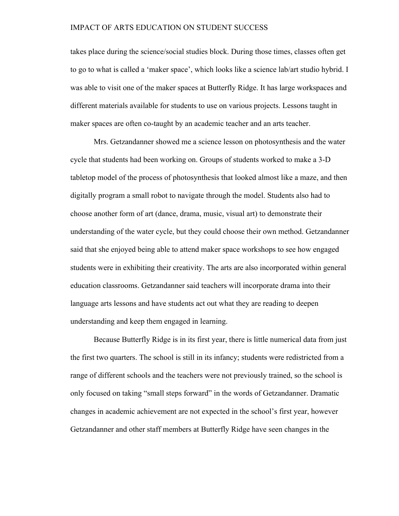takes place during the science/social studies block. During those times, classes often get to go to what is called a 'maker space', which looks like a science lab/art studio hybrid. I was able to visit one of the maker spaces at Butterfly Ridge. It has large workspaces and different materials available for students to use on various projects. Lessons taught in maker spaces are often co-taught by an academic teacher and an arts teacher.

Mrs. Getzandanner showed me a science lesson on photosynthesis and the water cycle that students had been working on. Groups of students worked to make a 3-D tabletop model of the process of photosynthesis that looked almost like a maze, and then digitally program a small robot to navigate through the model. Students also had to choose another form of art (dance, drama, music, visual art) to demonstrate their understanding of the water cycle, but they could choose their own method. Getzandanner said that she enjoyed being able to attend maker space workshops to see how engaged students were in exhibiting their creativity. The arts are also incorporated within general education classrooms. Getzandanner said teachers will incorporate drama into their language arts lessons and have students act out what they are reading to deepen understanding and keep them engaged in learning.

Because Butterfly Ridge is in its first year, there is little numerical data from just the first two quarters. The school is still in its infancy; students were redistricted from a range of different schools and the teachers were not previously trained, so the school is only focused on taking "small steps forward" in the words of Getzandanner. Dramatic changes in academic achievement are not expected in the school's first year, however Getzandanner and other staff members at Butterfly Ridge have seen changes in the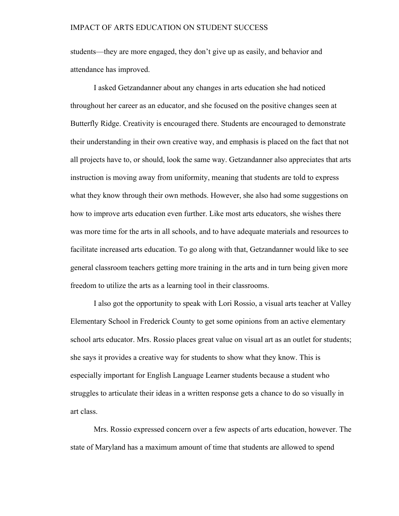students—they are more engaged, they don't give up as easily, and behavior and attendance has improved.

I asked Getzandanner about any changes in arts education she had noticed throughout her career as an educator, and she focused on the positive changes seen at Butterfly Ridge. Creativity is encouraged there. Students are encouraged to demonstrate their understanding in their own creative way, and emphasis is placed on the fact that not all projects have to, or should, look the same way. Getzandanner also appreciates that arts instruction is moving away from uniformity, meaning that students are told to express what they know through their own methods. However, she also had some suggestions on how to improve arts education even further. Like most arts educators, she wishes there was more time for the arts in all schools, and to have adequate materials and resources to facilitate increased arts education. To go along with that, Getzandanner would like to see general classroom teachers getting more training in the arts and in turn being given more freedom to utilize the arts as a learning tool in their classrooms.

I also got the opportunity to speak with Lori Rossio, a visual arts teacher at Valley Elementary School in Frederick County to get some opinions from an active elementary school arts educator. Mrs. Rossio places great value on visual art as an outlet for students; she says it provides a creative way for students to show what they know. This is especially important for English Language Learner students because a student who struggles to articulate their ideas in a written response gets a chance to do so visually in art class.

Mrs. Rossio expressed concern over a few aspects of arts education, however. The state of Maryland has a maximum amount of time that students are allowed to spend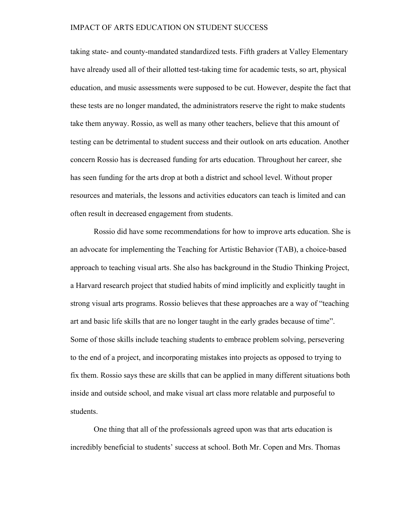taking state- and county-mandated standardized tests. Fifth graders at Valley Elementary have already used all of their allotted test-taking time for academic tests, so art, physical education, and music assessments were supposed to be cut. However, despite the fact that these tests are no longer mandated, the administrators reserve the right to make students take them anyway. Rossio, as well as many other teachers, believe that this amount of testing can be detrimental to student success and their outlook on arts education. Another concern Rossio has is decreased funding for arts education. Throughout her career, she has seen funding for the arts drop at both a district and school level. Without proper resources and materials, the lessons and activities educators can teach is limited and can often result in decreased engagement from students.

Rossio did have some recommendations for how to improve arts education. She is an advocate for implementing the Teaching for Artistic Behavior (TAB), a choice-based approach to teaching visual arts. She also has background in the Studio Thinking Project, a Harvard research project that studied habits of mind implicitly and explicitly taught in strong visual arts programs. Rossio believes that these approaches are a way of "teaching art and basic life skills that are no longer taught in the early grades because of time". Some of those skills include teaching students to embrace problem solving, persevering to the end of a project, and incorporating mistakes into projects as opposed to trying to fix them. Rossio says these are skills that can be applied in many different situations both inside and outside school, and make visual art class more relatable and purposeful to students.

One thing that all of the professionals agreed upon was that arts education is incredibly beneficial to students' success at school. Both Mr. Copen and Mrs. Thomas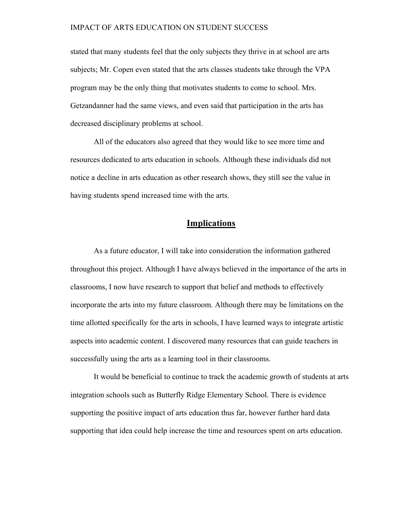stated that many students feel that the only subjects they thrive in at school are arts subjects; Mr. Copen even stated that the arts classes students take through the VPA program may be the only thing that motivates students to come to school. Mrs. Getzandanner had the same views, and even said that participation in the arts has decreased disciplinary problems at school.

All of the educators also agreed that they would like to see more time and resources dedicated to arts education in schools. Although these individuals did not notice a decline in arts education as other research shows, they still see the value in having students spend increased time with the arts.

# **Implications**

As a future educator, I will take into consideration the information gathered throughout this project. Although I have always believed in the importance of the arts in classrooms, I now have research to support that belief and methods to effectively incorporate the arts into my future classroom. Although there may be limitations on the time allotted specifically for the arts in schools, I have learned ways to integrate artistic aspects into academic content. I discovered many resources that can guide teachers in successfully using the arts as a learning tool in their classrooms.

It would be beneficial to continue to track the academic growth of students at arts integration schools such as Butterfly Ridge Elementary School. There is evidence supporting the positive impact of arts education thus far, however further hard data supporting that idea could help increase the time and resources spent on arts education.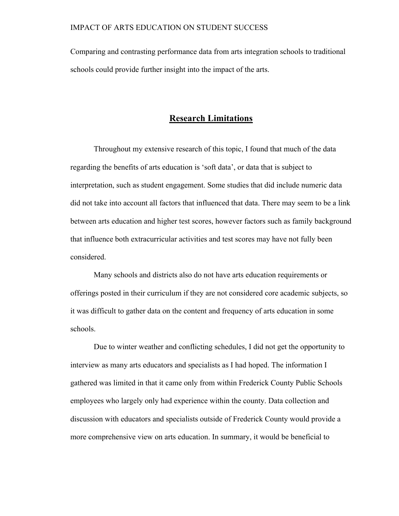Comparing and contrasting performance data from arts integration schools to traditional schools could provide further insight into the impact of the arts.

# **Research Limitations**

Throughout my extensive research of this topic, I found that much of the data regarding the benefits of arts education is 'soft data', or data that is subject to interpretation, such as student engagement. Some studies that did include numeric data did not take into account all factors that influenced that data. There may seem to be a link between arts education and higher test scores, however factors such as family background that influence both extracurricular activities and test scores may have not fully been considered.

Many schools and districts also do not have arts education requirements or offerings posted in their curriculum if they are not considered core academic subjects, so it was difficult to gather data on the content and frequency of arts education in some schools.

Due to winter weather and conflicting schedules, I did not get the opportunity to interview as many arts educators and specialists as I had hoped. The information I gathered was limited in that it came only from within Frederick County Public Schools employees who largely only had experience within the county. Data collection and discussion with educators and specialists outside of Frederick County would provide a more comprehensive view on arts education. In summary, it would be beneficial to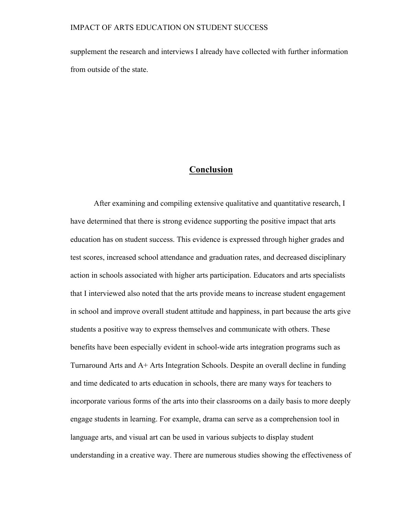supplement the research and interviews I already have collected with further information from outside of the state.

# **Conclusion**

After examining and compiling extensive qualitative and quantitative research, I have determined that there is strong evidence supporting the positive impact that arts education has on student success. This evidence is expressed through higher grades and test scores, increased school attendance and graduation rates, and decreased disciplinary action in schools associated with higher arts participation. Educators and arts specialists that I interviewed also noted that the arts provide means to increase student engagement in school and improve overall student attitude and happiness, in part because the arts give students a positive way to express themselves and communicate with others. These benefits have been especially evident in school-wide arts integration programs such as Turnaround Arts and A+ Arts Integration Schools. Despite an overall decline in funding and time dedicated to arts education in schools, there are many ways for teachers to incorporate various forms of the arts into their classrooms on a daily basis to more deeply engage students in learning. For example, drama can serve as a comprehension tool in language arts, and visual art can be used in various subjects to display student understanding in a creative way. There are numerous studies showing the effectiveness of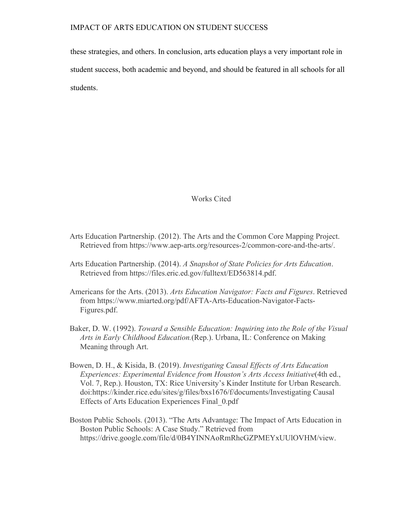these strategies, and others. In conclusion, arts education plays a very important role in student success, both academic and beyond, and should be featured in all schools for all students.

Works Cited

- Arts Education Partnership. (2012). The Arts and the Common Core Mapping Project. Retrieved from https://www.aep-arts.org/resources-2/common-core-and-the-arts/.
- Arts Education Partnership. (2014). *A Snapshot of State Policies for Arts Education*. Retrieved from https://files.eric.ed.gov/fulltext/ED563814.pdf.
- Americans for the Arts. (2013). *Arts Education Navigator: Facts and Figures*. Retrieved from https://www.miarted.org/pdf/AFTA-Arts-Education-Navigator-Facts-Figures.pdf.
- Baker, D. W. (1992). *Toward a Sensible Education: Inquiring into the Role of the Visual Arts in Early Childhood Education.*(Rep.). Urbana, IL: Conference on Making Meaning through Art.
- Bowen, D. H., & Kisida, B. (2019). *Investigating Causal Effects of Arts Education Experiences: Experimental Evidence from Houston's Arts Access Initiative*(4th ed., Vol. 7, Rep.). Houston, TX: Rice University's Kinder Institute for Urban Research. doi:https://kinder.rice.edu/sites/g/files/bxs1676/f/documents/Investigating Causal Effects of Arts Education Experiences Final\_0.pdf
- Boston Public Schools. (2013). "The Arts Advantage: The Impact of Arts Education in Boston Public Schools: A Case Study." Retrieved from https://drive.google.com/file/d/0B4YINNAoRmRhcGZPMEYxUUlOVHM/view.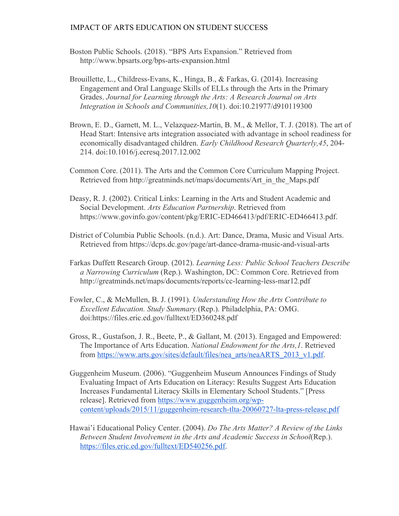- Boston Public Schools. (2018). "BPS Arts Expansion." Retrieved from http://www.bpsarts.org/bps-arts-expansion.html
- Brouillette, L., Childress-Evans, K., Hinga, B., & Farkas, G. (2014). Increasing Engagement and Oral Language Skills of ELLs through the Arts in the Primary Grades. *Journal for Learning through the Arts: A Research Journal on Arts Integration in Schools and Communities,10*(1). doi:10.21977/d910119300
- Brown, E. D., Garnett, M. L., Velazquez-Martin, B. M., & Mellor, T. J. (2018). The art of Head Start: Intensive arts integration associated with advantage in school readiness for economically disadvantaged children. *Early Childhood Research Quarterly,45*, 204- 214. doi:10.1016/j.ecresq.2017.12.002
- Common Core. (2011). The Arts and the Common Core Curriculum Mapping Project. Retrieved from http://greatminds.net/maps/documents/Art\_in\_the\_Maps.pdf
- Deasy, R. J. (2002). Critical Links: Learning in the Arts and Student Academic and Social Development. *Arts Education Partnership*. Retrieved from https://www.govinfo.gov/content/pkg/ERIC-ED466413/pdf/ERIC-ED466413.pdf.
- District of Columbia Public Schools. (n.d.). Art: Dance, Drama, Music and Visual Arts. Retrieved from https://dcps.dc.gov/page/art-dance-drama-music-and-visual-arts
- Farkas Duffett Research Group. (2012). *Learning Less: Public School Teachers Describe a Narrowing Curriculum* (Rep.). Washington, DC: Common Core. Retrieved from http://greatminds.net/maps/documents/reports/cc-learning-less-mar12.pdf
- Fowler, C., & McMullen, B. J. (1991). *Understanding How the Arts Contribute to Excellent Education. Study Summary.*(Rep.). Philadelphia, PA: OMG. doi:https://files.eric.ed.gov/fulltext/ED360248.pdf
- Gross, R., Gustafson, J. R., Beete, P., & Gallant, M. (2013). Engaged and Empowered: The Importance of Arts Education. *National Endowment for the Arts,1*. Retrieved from https://www.arts.gov/sites/default/files/nea\_arts/neaARTS\_2013\_v1.pdf.
- Guggenheim Museum. (2006). "Guggenheim Museum Announces Findings of Study Evaluating Impact of Arts Education on Literacy: Results Suggest Arts Education Increases Fundamental Literacy Skills in Elementary School Students." [Press release]. Retrieved from https://www.guggenheim.org/wpcontent/uploads/2015/11/guggenheim-research-tlta-20060727-lta-press-release.pdf
- Hawai'i Educational Policy Center. (2004). *Do The Arts Matter? A Review of the Links Between Student Involvement in the Arts and Academic Success in School*(Rep.). https://files.eric.ed.gov/fulltext/ED540256.pdf.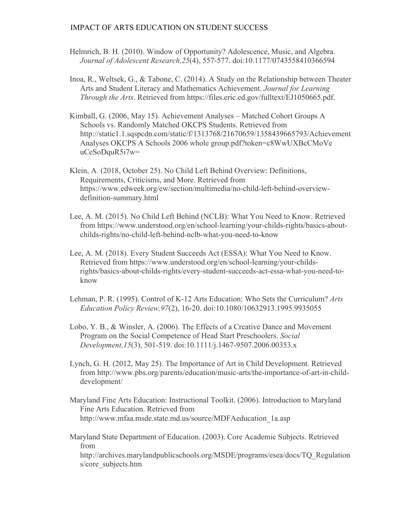- Helmrich, B. H. (2010). Window of Opportunity? Adolescence, Music, and Algebra. *Journal of Adolescent Research,25*(4), 557-577. doi:10.1177/0743558410366594
- Inoa, R., Weltsek, G., & Tabone, C. (2014). A Study on the Relationship between Theater Arts and Student Literacy and Mathematics Achievement. *Journal for Learning Through the Arts*. Retrieved from https://files.eric.ed.gov/fulltext/EJ1050665.pdf.
- Kimball, G. (2006, May 15). Achievement Analyses Matched Cohort Groups A Schools vs. Randomly Matched OKCPS Students. Retrieved from http://static1.1.sqspcdn.com/static/f/1313768/21670659/1358439665793/Achievement Analyses OKCPS A Schools 2006 whole group.pdf?token=c8WwUXBcCMoVe uCeSoDquR5i7w=
- Klein, A. (2018, October 25). No Child Left Behind Overview: Definitions, Requirements, Criticisms, and More. Retrieved from https://www.edweek.org/ew/section/multimedia/no-child-left-behind-overviewdefinition-summary.html
- Lee, A. M. (2015). No Child Left Behind (NCLB): What You Need to Know. Retrieved from https://www.understood.org/en/school-learning/your-childs-rights/basics-aboutchilds-rights/no-child-left-behind-nclb-what-you-need-to-know
- Lee, A. M. (2018). Every Student Succeeds Act (ESSA): What You Need to Know. Retrieved from https://www.understood.org/en/school-learning/your-childsrights/basics-about-childs-rights/every-student-succeeds-act-essa-what-you-need-toknow
- Lehman, P. R. (1995). Control of K-12 Arts Education: Who Sets the Curriculum? *Arts Education Policy Review,97*(2), 16-20. doi:10.1080/10632913.1995.9935055
- Lobo, Y. B., & Winsler, A. (2006). The Effects of a Creative Dance and Movement Program on the Social Competence of Head Start Preschoolers. *Social Development,15*(3), 501-519. doi:10.1111/j.1467-9507.2006.00353.x
- Lynch, G. H. (2012, May 25). The Importance of Art in Child Development. Retrieved from http://www.pbs.org/parents/education/music-arts/the-importance-of-art-in-childdevelopment/
- Maryland Fine Arts Education: Instructional Toolkit. (2006). Introduction to Maryland Fine Arts Education. Retrieved from http://www.mfaa.msde.state.md.us/source/MDFAeducation\_1a.asp
- Maryland State Department of Education. (2003). Core Academic Subjects. Retrieved from http://archives.marylandpublicschools.org/MSDE/programs/esea/docs/TQ\_Regulation s/core\_subjects.htm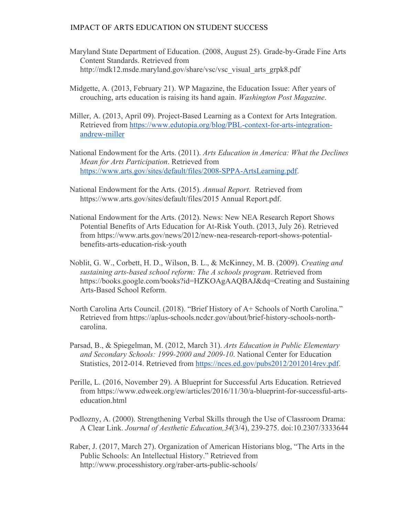- Maryland State Department of Education. (2008, August 25). Grade-by-Grade Fine Arts Content Standards. Retrieved from http://mdk12.msde.maryland.gov/share/vsc/vsc\_visual\_arts\_grpk8.pdf
- Midgette, A. (2013, February 21). WP Magazine, the Education Issue: After years of crouching, arts education is raising its hand again. *Washington Post Magazine*.
- Miller, A. (2013, April 09). Project-Based Learning as a Context for Arts Integration. Retrieved from https://www.edutopia.org/blog/PBL-context-for-arts-integrationandrew-miller
- National Endowment for the Arts. (2011). *Arts Education in America: What the Declines Mean for Arts Participation*. Retrieved from https://www.arts.gov/sites/default/files/2008-SPPA-ArtsLearning.pdf.
- National Endowment for the Arts. (2015). *Annual Report*. Retrieved from https://www.arts.gov/sites/default/files/2015 Annual Report.pdf.
- National Endowment for the Arts. (2012). News: New NEA Research Report Shows Potential Benefits of Arts Education for At-Risk Youth. (2013, July 26). Retrieved from https://www.arts.gov/news/2012/new-nea-research-report-shows-potentialbenefits-arts-education-risk-youth
- Noblit, G. W., Corbett, H. D., Wilson, B. L., & McKinney, M. B. (2009). *Creating and sustaining arts-based school reform: The A schools program*. Retrieved from https://books.google.com/books?id=HZKOAgAAQBAJ&dq=Creating and Sustaining Arts-Based School Reform.
- North Carolina Arts Council. (2018). "Brief History of A+ Schools of North Carolina." Retrieved from https://aplus-schools.ncdcr.gov/about/brief-history-schools-northcarolina.
- Parsad, B., & Spiegelman, M. (2012, March 31). *Arts Education in Public Elementary and Secondary Schools: 1999-2000 and 2009-10*. National Center for Education Statistics, 2012-014. Retrieved from https://nces.ed.gov/pubs2012/2012014rev.pdf.
- Perille, L. (2016, November 29). A Blueprint for Successful Arts Education. Retrieved from https://www.edweek.org/ew/articles/2016/11/30/a-blueprint-for-successful-artseducation.html
- Podlozny, A. (2000). Strengthening Verbal Skills through the Use of Classroom Drama: A Clear Link. *Journal of Aesthetic Education,34*(3/4), 239-275. doi:10.2307/3333644
- Raber, J. (2017, March 27). Organization of American Historians blog, "The Arts in the Public Schools: An Intellectual History." Retrieved from http://www.processhistory.org/raber-arts-public-schools/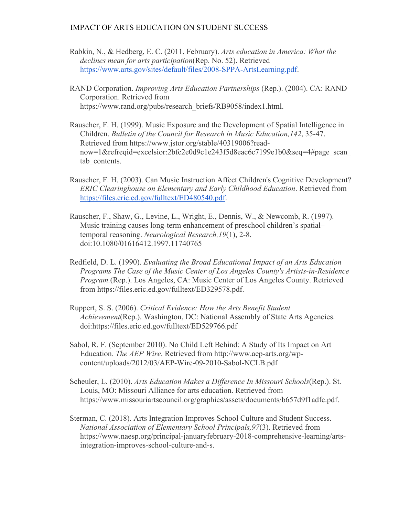- Rabkin, N., & Hedberg, E. C. (2011, February). *Arts education in America: What the declines mean for arts participation*(Rep. No. 52). Retrieved https://www.arts.gov/sites/default/files/2008-SPPA-ArtsLearning.pdf.
- RAND Corporation. *Improving Arts Education Partnerships* (Rep.). (2004). CA: RAND Corporation. Retrieved from https://www.rand.org/pubs/research\_briefs/RB9058/index1.html.
- Rauscher, F. H. (1999). Music Exposure and the Development of Spatial Intelligence in Children. *Bulletin of the Council for Research in Music Education,142*, 35-47. Retrieved from https://www.jstor.org/stable/40319006?readnow=1&refreqid=excelsior:2bfc2e0d9c1e243f5d8eac6c7199e1b0&seq=4#page\_scan\_ tab contents.
- Rauscher, F. H. (2003). Can Music Instruction Affect Children's Cognitive Development? *ERIC Clearinghouse on Elementary and Early Childhood Education*. Retrieved from https://files.eric.ed.gov/fulltext/ED480540.pdf.
- Rauscher, F., Shaw, G., Levine, L., Wright, E., Dennis, W., & Newcomb, R. (1997). Music training causes long-term enhancement of preschool children's spatial– temporal reasoning. *Neurological Research,19*(1), 2-8. doi:10.1080/01616412.1997.11740765
- Redfield, D. L. (1990). *Evaluating the Broad Educational Impact of an Arts Education Programs The Case of the Music Center of Los Angeles County's Artists-in-Residence Program.*(Rep.). Los Angeles, CA: Music Center of Los Angeles County. Retrieved from https://files.eric.ed.gov/fulltext/ED329578.pdf.
- Ruppert, S. S. (2006). *Critical Evidence: How the Arts Benefit Student Achievement*(Rep.). Washington, DC: National Assembly of State Arts Agencies. doi:https://files.eric.ed.gov/fulltext/ED529766.pdf
- Sabol, R. F. (September 2010). No Child Left Behind: A Study of Its Impact on Art Education. *The AEP Wire*. Retrieved from http://www.aep-arts.org/wpcontent/uploads/2012/03/AEP-Wire-09-2010-Sabol-NCLB.pdf
- Scheuler, L. (2010). *Arts Education Makes a Difference In Missouri Schools*(Rep.). St. Louis, MO: Missouri Alliance for arts education. Retrieved from https://www.missouriartscouncil.org/graphics/assets/documents/b657d9f1adfc.pdf.
- Sterman, C. (2018). Arts Integration Improves School Culture and Student Success. *National Association of Elementary School Principals,97*(3). Retrieved from https://www.naesp.org/principal-januaryfebruary-2018-comprehensive-learning/artsintegration-improves-school-culture-and-s.